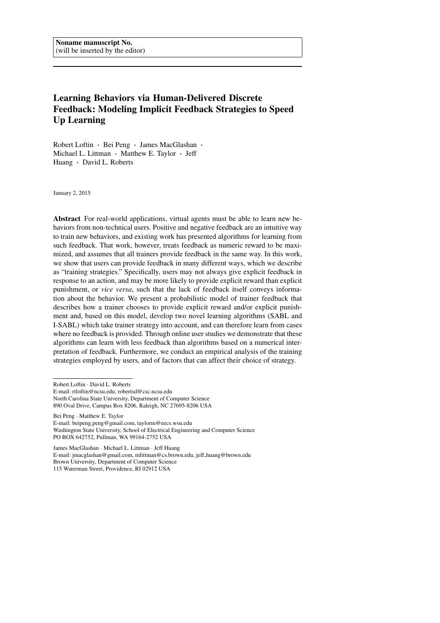# Learning Behaviors via Human-Delivered Discrete Feedback: Modeling Implicit Feedback Strategies to Speed Up Learning

Robert Loftin · Bei Peng · James MacGlashan · Michael L. Littman · Matthew E. Taylor · Jeff Huang · David L. Roberts

January 2, 2015

Abstract For real-world applications, virtual agents must be able to learn new behaviors from non-technical users. Positive and negative feedback are an intuitive way to train new behaviors, and existing work has presented algorithms for learning from such feedback. That work, however, treats feedback as numeric reward to be maximized, and assumes that all trainers provide feedback in the same way. In this work, we show that users can provide feedback in many different ways, which we describe as "training strategies." Specifically, users may not always give explicit feedback in response to an action, and may be more likely to provide explicit reward than explicit punishment, or *vice versa*, such that the lack of feedback itself conveys information about the behavior. We present a probabilistic model of trainer feedback that describes how a trainer chooses to provide explicit reward and/or explicit punishment and, based on this model, develop two novel learning algorithms (SABL and I-SABL) which take trainer strategy into account, and can therefore learn from cases where no feedback is provided. Through online user studies we demonstrate that these algorithms can learn with less feedback than algorithms based on a numerical interpretation of feedback. Furthermore, we conduct an empirical analysis of the training strategies employed by users, and of factors that can affect their choice of strategy.

E-mail: rtloftin@ncsu.edu, robertsd@csc.ncsu.edu North Carolina State University, Department of Computer Science 890 Oval Drive, Campus Box 8206, Raleigh, NC 27695-8206 USA

Bei Peng · Matthew E. Taylor E-mail: beipeng.peng@gmail.com, taylorm@eecs.wsu.edu Washington State University, School of Electrical Engineering and Computer Science PO BOX 642752, Pullman, WA 99164-2752 USA

James MacGlashan · Michael L. Littman · Jeff Huang E-mail: jmacglashan@gmail.com, mlittman@cs.brown.edu, jeff huang@brown.edu Brown University, Department of Computer Science 115 Waterman Street, Providence, RI 02912 USA

Robert Loftin · David L. Roberts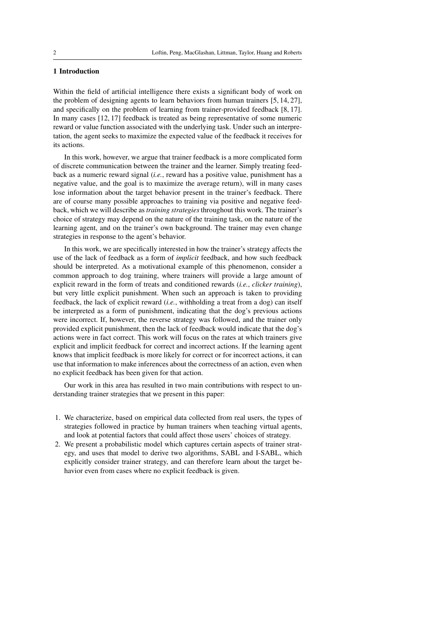# 1 Introduction

Within the field of artificial intelligence there exists a significant body of work on the problem of designing agents to learn behaviors from human trainers [5, 14, 27], and specifically on the problem of learning from trainer-provided feedback [8, 17]. In many cases [12, 17] feedback is treated as being representative of some numeric reward or value function associated with the underlying task. Under such an interpretation, the agent seeks to maximize the expected value of the feedback it receives for its actions.

In this work, however, we argue that trainer feedback is a more complicated form of discrete communication between the trainer and the learner. Simply treating feedback as a numeric reward signal (*i.e.*, reward has a positive value, punishment has a negative value, and the goal is to maximize the average return), will in many cases lose information about the target behavior present in the trainer's feedback. There are of course many possible approaches to training via positive and negative feedback, which we will describe as*training strategies*throughout this work. The trainer's choice of strategy may depend on the nature of the training task, on the nature of the learning agent, and on the trainer's own background. The trainer may even change strategies in response to the agent's behavior.

In this work, we are specifically interested in how the trainer's strategy affects the use of the lack of feedback as a form of *implicit* feedback, and how such feedback should be interpreted. As a motivational example of this phenomenon, consider a common approach to dog training, where trainers will provide a large amount of explicit reward in the form of treats and conditioned rewards (*i.e.*, *clicker training*), but very little explicit punishment. When such an approach is taken to providing feedback, the lack of explicit reward (*i.e.*, withholding a treat from a dog) can itself be interpreted as a form of punishment, indicating that the dog's previous actions were incorrect. If, however, the reverse strategy was followed, and the trainer only provided explicit punishment, then the lack of feedback would indicate that the dog's actions were in fact correct. This work will focus on the rates at which trainers give explicit and implicit feedback for correct and incorrect actions. If the learning agent knows that implicit feedback is more likely for correct or for incorrect actions, it can use that information to make inferences about the correctness of an action, even when no explicit feedback has been given for that action.

Our work in this area has resulted in two main contributions with respect to understanding trainer strategies that we present in this paper:

- 1. We characterize, based on empirical data collected from real users, the types of strategies followed in practice by human trainers when teaching virtual agents, and look at potential factors that could affect those users' choices of strategy.
- 2. We present a probabilistic model which captures certain aspects of trainer strategy, and uses that model to derive two algorithms, SABL and I-SABL, which explicitly consider trainer strategy, and can therefore learn about the target behavior even from cases where no explicit feedback is given.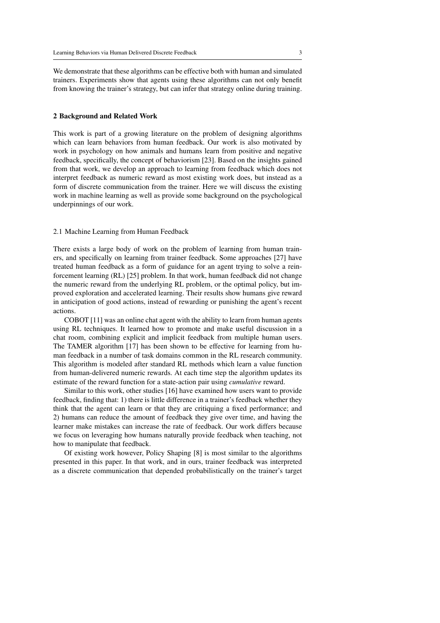We demonstrate that these algorithms can be effective both with human and simulated trainers. Experiments show that agents using these algorithms can not only benefit from knowing the trainer's strategy, but can infer that strategy online during training.

#### 2 Background and Related Work

This work is part of a growing literature on the problem of designing algorithms which can learn behaviors from human feedback. Our work is also motivated by work in psychology on how animals and humans learn from positive and negative feedback, specifically, the concept of behaviorism [23]. Based on the insights gained from that work, we develop an approach to learning from feedback which does not interpret feedback as numeric reward as most existing work does, but instead as a form of discrete communication from the trainer. Here we will discuss the existing work in machine learning as well as provide some background on the psychological underpinnings of our work.

#### 2.1 Machine Learning from Human Feedback

There exists a large body of work on the problem of learning from human trainers, and specifically on learning from trainer feedback. Some approaches [27] have treated human feedback as a form of guidance for an agent trying to solve a reinforcement learning (RL) [25] problem. In that work, human feedback did not change the numeric reward from the underlying RL problem, or the optimal policy, but improved exploration and accelerated learning. Their results show humans give reward in anticipation of good actions, instead of rewarding or punishing the agent's recent actions.

COBOT [11] was an online chat agent with the ability to learn from human agents using RL techniques. It learned how to promote and make useful discussion in a chat room, combining explicit and implicit feedback from multiple human users. The TAMER algorithm [17] has been shown to be effective for learning from human feedback in a number of task domains common in the RL research community. This algorithm is modeled after standard RL methods which learn a value function from human-delivered numeric rewards. At each time step the algorithm updates its estimate of the reward function for a state-action pair using *cumulative* reward.

Similar to this work, other studies [16] have examined how users want to provide feedback, finding that: 1) there is little difference in a trainer's feedback whether they think that the agent can learn or that they are critiquing a fixed performance; and 2) humans can reduce the amount of feedback they give over time, and having the learner make mistakes can increase the rate of feedback. Our work differs because we focus on leveraging how humans naturally provide feedback when teaching, not how to manipulate that feedback.

Of existing work however, Policy Shaping [8] is most similar to the algorithms presented in this paper. In that work, and in ours, trainer feedback was interpreted as a discrete communication that depended probabilistically on the trainer's target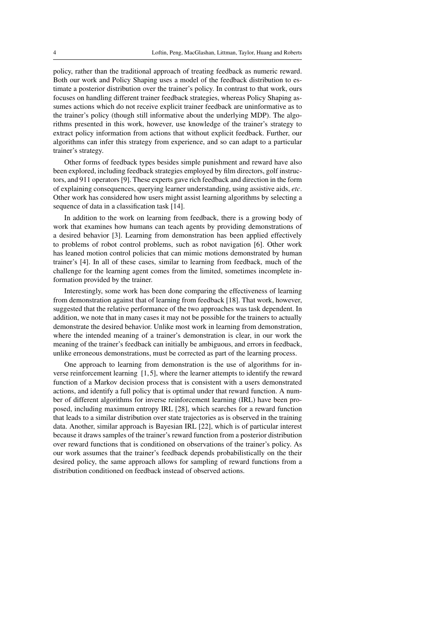policy, rather than the traditional approach of treating feedback as numeric reward. Both our work and Policy Shaping uses a model of the feedback distribution to estimate a posterior distribution over the trainer's policy. In contrast to that work, ours focuses on handling different trainer feedback strategies, whereas Policy Shaping assumes actions which do not receive explicit trainer feedback are uninformative as to the trainer's policy (though still informative about the underlying MDP). The algorithms presented in this work, however, use knowledge of the trainer's strategy to extract policy information from actions that without explicit feedback. Further, our algorithms can infer this strategy from experience, and so can adapt to a particular trainer's strategy.

Other forms of feedback types besides simple punishment and reward have also been explored, including feedback strategies employed by film directors, golf instructors, and 911 operators [9]. These experts gave rich feedback and direction in the form of explaining consequences, querying learner understanding, using assistive aids, *etc*. Other work has considered how users might assist learning algorithms by selecting a sequence of data in a classification task [14].

In addition to the work on learning from feedback, there is a growing body of work that examines how humans can teach agents by providing demonstrations of a desired behavior [3]. Learning from demonstration has been applied effectively to problems of robot control problems, such as robot navigation [6]. Other work has leaned motion control policies that can mimic motions demonstrated by human trainer's [4]. In all of these cases, similar to learning from feedback, much of the challenge for the learning agent comes from the limited, sometimes incomplete information provided by the trainer.

Interestingly, some work has been done comparing the effectiveness of learning from demonstration against that of learning from feedback [18]. That work, however, suggested that the relative performance of the two approaches was task dependent. In addition, we note that in many cases it may not be possible for the trainers to actually demonstrate the desired behavior. Unlike most work in learning from demonstration, where the intended meaning of a trainer's demonstration is clear, in our work the meaning of the trainer's feedback can initially be ambiguous, and errors in feedback, unlike erroneous demonstrations, must be corrected as part of the learning process.

One approach to learning from demonstration is the use of algorithms for inverse reinforcement learning [1, 5], where the learner attempts to identify the reward function of a Markov decision process that is consistent with a users demonstrated actions, and identify a full policy that is optimal under that reward function. A number of different algorithms for inverse reinforcement learning (IRL) have been proposed, including maximum entropy IRL [28], which searches for a reward function that leads to a similar distribution over state trajectories as is observed in the training data. Another, similar approach is Bayesian IRL [22], which is of particular interest because it draws samples of the trainer's reward function from a posterior distribution over reward functions that is conditioned on observations of the trainer's policy. As our work assumes that the trainer's feedback depends probabilistically on the their desired policy, the same approach allows for sampling of reward functions from a distribution conditioned on feedback instead of observed actions.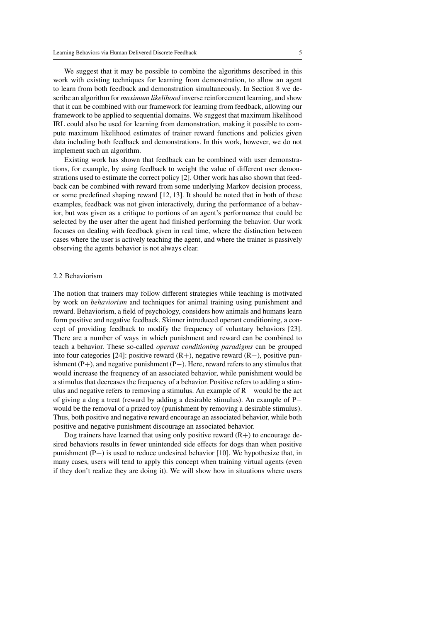We suggest that it may be possible to combine the algorithms described in this work with existing techniques for learning from demonstration, to allow an agent to learn from both feedback and demonstration simultaneously. In Section 8 we describe an algorithm for *maximum likelihood* inverse reinforcement learning, and show that it can be combined with our framework for learning from feedback, allowing our framework to be applied to sequential domains. We suggest that maximum likelihood IRL could also be used for learning from demonstration, making it possible to compute maximum likelihood estimates of trainer reward functions and policies given data including both feedback and demonstrations. In this work, however, we do not implement such an algorithm.

Existing work has shown that feedback can be combined with user demonstrations, for example, by using feedback to weight the value of different user demonstrations used to estimate the correct policy [2]. Other work has also shown that feedback can be combined with reward from some underlying Markov decision process, or some predefined shaping reward [12, 13]. It should be noted that in both of these examples, feedback was not given interactively, during the performance of a behavior, but was given as a critique to portions of an agent's performance that could be selected by the user after the agent had finished performing the behavior. Our work focuses on dealing with feedback given in real time, where the distinction between cases where the user is actively teaching the agent, and where the trainer is passively observing the agents behavior is not always clear.

#### 2.2 Behaviorism

The notion that trainers may follow different strategies while teaching is motivated by work on *behaviorism* and techniques for animal training using punishment and reward. Behaviorism, a field of psychology, considers how animals and humans learn form positive and negative feedback. Skinner introduced operant conditioning, a concept of providing feedback to modify the frequency of voluntary behaviors [23]. There are a number of ways in which punishment and reward can be combined to teach a behavior. These so-called *operant conditioning paradigms* can be grouped into four categories [24]: positive reward (R+), negative reward (R−), positive punishment (P+), and negative punishment (P−). Here, reward refers to any stimulus that would increase the frequency of an associated behavior, while punishment would be a stimulus that decreases the frequency of a behavior. Positive refers to adding a stimulus and negative refers to removing a stimulus. An example of  $R+$  would be the act of giving a dog a treat (reward by adding a desirable stimulus). An example of P− would be the removal of a prized toy (punishment by removing a desirable stimulus). Thus, both positive and negative reward encourage an associated behavior, while both positive and negative punishment discourage an associated behavior.

Dog trainers have learned that using only positive reward  $(R+)$  to encourage desired behaviors results in fewer unintended side effects for dogs than when positive punishment  $(P+)$  is used to reduce undesired behavior [10]. We hypothesize that, in many cases, users will tend to apply this concept when training virtual agents (even if they don't realize they are doing it). We will show how in situations where users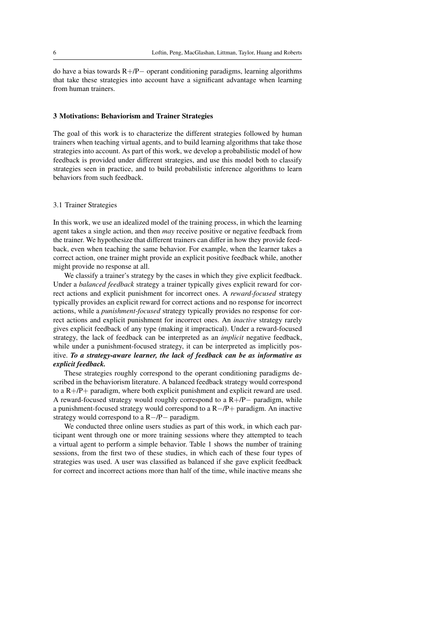do have a bias towards R+/P− operant conditioning paradigms, learning algorithms that take these strategies into account have a significant advantage when learning from human trainers.

#### 3 Motivations: Behaviorism and Trainer Strategies

The goal of this work is to characterize the different strategies followed by human trainers when teaching virtual agents, and to build learning algorithms that take those strategies into account. As part of this work, we develop a probabilistic model of how feedback is provided under different strategies, and use this model both to classify strategies seen in practice, and to build probabilistic inference algorithms to learn behaviors from such feedback.

## 3.1 Trainer Strategies

In this work, we use an idealized model of the training process, in which the learning agent takes a single action, and then *may* receive positive or negative feedback from the trainer. We hypothesize that different trainers can differ in how they provide feedback, even when teaching the same behavior. For example, when the learner takes a correct action, one trainer might provide an explicit positive feedback while, another might provide no response at all.

We classify a trainer's strategy by the cases in which they give explicit feedback. Under a *balanced feedback* strategy a trainer typically gives explicit reward for correct actions and explicit punishment for incorrect ones. A *reward-focused* strategy typically provides an explicit reward for correct actions and no response for incorrect actions, while a *punishment-focused* strategy typically provides no response for correct actions and explicit punishment for incorrect ones. An *inactive* strategy rarely gives explicit feedback of any type (making it impractical). Under a reward-focused strategy, the lack of feedback can be interpreted as an *implicit* negative feedback, while under a punishment-focused strategy, it can be interpreted as implicitly positive. *To a strategy-aware learner, the lack of feedback can be as informative as explicit feedback.*

These strategies roughly correspond to the operant conditioning paradigms described in the behaviorism literature. A balanced feedback strategy would correspond to a R+/P+ paradigm, where both explicit punishment and explicit reward are used. A reward-focused strategy would roughly correspond to a R+/P− paradigm, while a punishment-focused strategy would correspond to a R−/P+ paradigm. An inactive strategy would correspond to a R−/P− paradigm.

We conducted three online users studies as part of this work, in which each participant went through one or more training sessions where they attempted to teach a virtual agent to perform a simple behavior. Table 1 shows the number of training sessions, from the first two of these studies, in which each of these four types of strategies was used. A user was classified as balanced if she gave explicit feedback for correct and incorrect actions more than half of the time, while inactive means she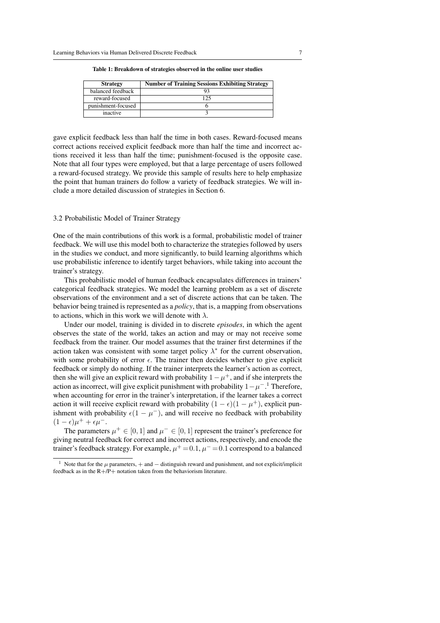| Table 1: Breakdown of strategies observed in the online user studies |  |  |  |
|----------------------------------------------------------------------|--|--|--|
|----------------------------------------------------------------------|--|--|--|

| <b>Strategy</b>    | <b>Number of Training Sessions Exhibiting Strategy</b> |
|--------------------|--------------------------------------------------------|
| balanced feedback  |                                                        |
| reward-focused     | 125                                                    |
| punishment-focused |                                                        |
| inactive           |                                                        |

gave explicit feedback less than half the time in both cases. Reward-focused means correct actions received explicit feedback more than half the time and incorrect actions received it less than half the time; punishment-focused is the opposite case. Note that all four types were employed, but that a large percentage of users followed a reward-focused strategy. We provide this sample of results here to help emphasize the point that human trainers do follow a variety of feedback strategies. We will include a more detailed discussion of strategies in Section 6.

#### 3.2 Probabilistic Model of Trainer Strategy

One of the main contributions of this work is a formal, probabilistic model of trainer feedback. We will use this model both to characterize the strategies followed by users in the studies we conduct, and more significantly, to build learning algorithms which use probabilistic inference to identify target behaviors, while taking into account the trainer's strategy.

This probabilistic model of human feedback encapsulates differences in trainers' categorical feedback strategies. We model the learning problem as a set of discrete observations of the environment and a set of discrete actions that can be taken. The behavior being trained is represented as a *policy*, that is, a mapping from observations to actions, which in this work we will denote with  $\lambda$ .

Under our model, training is divided in to discrete *episodes*, in which the agent observes the state of the world, takes an action and may or may not receive some feedback from the trainer. Our model assumes that the trainer first determines if the action taken was consistent with some target policy  $\lambda^*$  for the current observation, with some probability of error  $\epsilon$ . The trainer then decides whether to give explicit feedback or simply do nothing. If the trainer interprets the learner's action as correct, then she will give an explicit reward with probability  $1 - \mu^+$ , and if she interprets the action as incorrect, will give explicit punishment with probability  $1 - \mu^{-1}$ . Therefore, when accounting for error in the trainer's interpretation, if the learner takes a correct action it will receive explicit reward with probability  $(1 - \epsilon)(1 - \mu^+)$ , explicit punishment with probability  $\epsilon(1 - \mu^{-})$ , and will receive no feedback with probability  $(1 - \epsilon)\mu^{+} + \epsilon \mu^{-}$ .

The parameters  $\mu^+ \in [0, 1]$  and  $\mu^- \in [0, 1]$  represent the trainer's preference for giving neutral feedback for correct and incorrect actions, respectively, and encode the trainer's feedback strategy. For example,  $\mu^+$  = 0.1,  $\mu^-$  = 0.1 correspond to a balanced

<sup>&</sup>lt;sup>1</sup> Note that for the  $\mu$  parameters,  $+$  and  $-$  distinguish reward and punishment, and not explicit/implicit feedback as in the  $R+/P+$  notation taken from the behaviorism literature.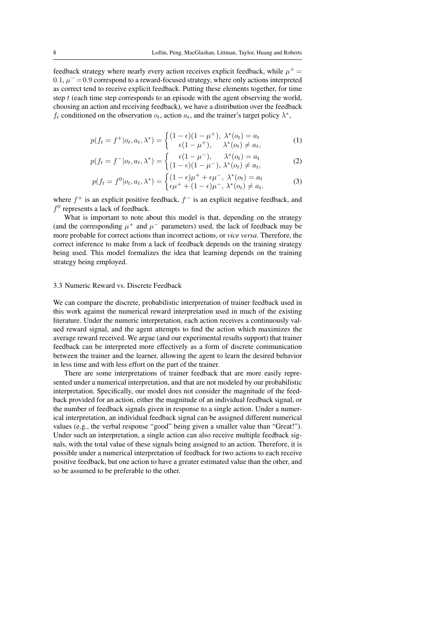feedback strategy where nearly every action receives explicit feedback, while  $\mu^+$  = 0.1,  $\mu$ <sup>-</sup> = 0.9 correspond to a reward-focused strategy, where only actions interpreted as correct tend to receive explicit feedback. Putting these elements together, for time step  $t$  (each time step corresponds to an episode with the agent observing the world, choosing an action and receiving feedback), we have a distribution over the feedback  $f_t$  conditioned on the observation  $o_t$ , action  $a_t$ , and the trainer's target policy  $\lambda^*$ ,

$$
p(f_t = f^+|o_t, a_t, \lambda^*) = \begin{cases} (1 - \epsilon)(1 - \mu^+), & \lambda^*(o_t) = a_t \\ \epsilon(1 - \mu^+), & \lambda^*(o_t) \neq a_t, \end{cases}
$$
(1)

$$
p(f_t = f^-|o_t, a_t, \lambda^*) = \begin{cases} \epsilon(1 - \mu^-), & \lambda^*(o_t) = a_t \\ (1 - \epsilon)(1 - \mu^-), & \lambda^*(o_t) \neq a_t, \end{cases}
$$
 (2)

$$
p(f_t = f^0 | o_t, a_t, \lambda^*) = \begin{cases} (1 - \epsilon)\mu^+ + \epsilon\mu^-, \ \lambda^*(o_t) = a_t \\ \epsilon\mu^+ + (1 - \epsilon)\mu^-, \ \lambda^*(o_t) \neq a_t. \end{cases}
$$
 (3)

where  $f^+$  is an explicit positive feedback,  $f^-$  is an explicit negative feedback, and  $f<sup>0</sup>$  represents a lack of feedback.

What is important to note about this model is that, depending on the strategy (and the corresponding  $\mu^+$  and  $\mu^-$  parameters) used, the lack of feedback may be more probable for correct actions than incorrect actions, or *vice versa*. Therefore, the correct inference to make from a lack of feedback depends on the training strategy being used. This model formalizes the idea that learning depends on the training strategy being employed.

## 3.3 Numeric Reward vs. Discrete Feedback

We can compare the discrete, probabilistic interpretation of trainer feedback used in this work against the numerical reward interpretation used in much of the existing literature. Under the numeric interpretation, each action receives a continuously valued reward signal, and the agent attempts to find the action which maximizes the average reward received. We argue (and our experimental results support) that trainer feedback can be interpreted more effectively as a form of discrete communication between the trainer and the learner, allowing the agent to learn the desired behavior in less time and with less effort on the part of the trainer.

There are some interpretations of trainer feedback that are more easily represented under a numerical interpretation, and that are not modeled by our probabilistic interpretation. Specifically, our model does not consider the magnitude of the feedback provided for an action, either the magnitude of an individual feedback signal, or the number of feedback signals given in response to a single action. Under a numerical interpretation, an individual feedback signal can be assigned different numerical values (e.g., the verbal response "good" being given a smaller value than "Great!"). Under such an interpretation, a single action can also receive multiple feedback signals, with the total value of these signals being assigned to an action. Therefore, it is possible under a numerical interpretation of feedback for two actions to each receive positive feedback, but one action to have a greater estimated value than the other, and so be assumed to be preferable to the other.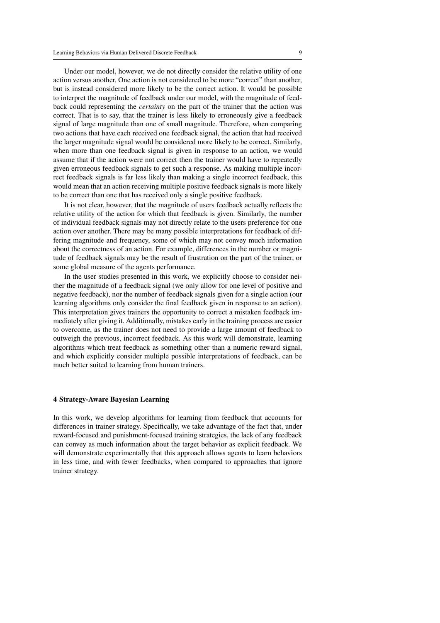Under our model, however, we do not directly consider the relative utility of one action versus another. One action is not considered to be more "correct" than another, but is instead considered more likely to be the correct action. It would be possible to interpret the magnitude of feedback under our model, with the magnitude of feedback could representing the *certainty* on the part of the trainer that the action was correct. That is to say, that the trainer is less likely to erroneously give a feedback signal of large magnitude than one of small magnitude. Therefore, when comparing two actions that have each received one feedback signal, the action that had received the larger magnitude signal would be considered more likely to be correct. Similarly, when more than one feedback signal is given in response to an action, we would assume that if the action were not correct then the trainer would have to repeatedly given erroneous feedback signals to get such a response. As making multiple incorrect feedback signals is far less likely than making a single incorrect feedback, this would mean that an action receiving multiple positive feedback signals is more likely to be correct than one that has received only a single positive feedback.

It is not clear, however, that the magnitude of users feedback actually reflects the relative utility of the action for which that feedback is given. Similarly, the number of individual feedback signals may not directly relate to the users preference for one action over another. There may be many possible interpretations for feedback of differing magnitude and frequency, some of which may not convey much information about the correctness of an action. For example, differences in the number or magnitude of feedback signals may be the result of frustration on the part of the trainer, or some global measure of the agents performance.

In the user studies presented in this work, we explicitly choose to consider neither the magnitude of a feedback signal (we only allow for one level of positive and negative feedback), nor the number of feedback signals given for a single action (our learning algorithms only consider the final feedback given in response to an action). This interpretation gives trainers the opportunity to correct a mistaken feedback immediately after giving it. Additionally, mistakes early in the training process are easier to overcome, as the trainer does not need to provide a large amount of feedback to outweigh the previous, incorrect feedback. As this work will demonstrate, learning algorithms which treat feedback as something other than a numeric reward signal, and which explicitly consider multiple possible interpretations of feedback, can be much better suited to learning from human trainers.

## 4 Strategy-Aware Bayesian Learning

In this work, we develop algorithms for learning from feedback that accounts for differences in trainer strategy. Specifically, we take advantage of the fact that, under reward-focused and punishment-focused training strategies, the lack of any feedback can convey as much information about the target behavior as explicit feedback. We will demonstrate experimentally that this approach allows agents to learn behaviors in less time, and with fewer feedbacks, when compared to approaches that ignore trainer strategy.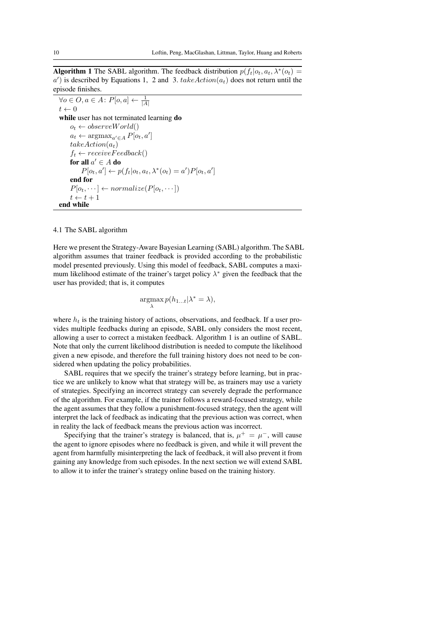**Algorithm 1** The SABL algorithm. The feedback distribution  $p(f_t|o_t, a_t, \lambda^*(o_t))$  $a'$ ) is described by Equations 1, 2 and 3.  $takeAction(a_t)$  does not return until the episode finishes.

 $\forall o \in O, a \in A : P[o, a] \leftarrow \frac{1}{|A|}$  $t \leftarrow 0$ while user has not terminated learning do  $o_t \leftarrow observableWorld()$  $a_t \leftarrow \operatorname{argmax}_{a' \in A} P[o_t, a']$  $takeAction(a_t)$  $f_t \leftarrow receiveFeedback()$ for all  $a' \in A$  do  $P[o_t, a'] \leftarrow p(f_t|o_t, a_t, \lambda^*(o_t) = a')P[o_t, a']$ end for  $P[o_t, \dots] \leftarrow normalize(P[o_t, \dots])$  $t \leftarrow t + 1$ end while

## 4.1 The SABL algorithm

Here we present the Strategy-Aware Bayesian Learning (SABL) algorithm. The SABL algorithm assumes that trainer feedback is provided according to the probabilistic model presented previously. Using this model of feedback, SABL computes a maximum likelihood estimate of the trainer's target policy  $\lambda^*$  given the feedback that the user has provided; that is, it computes

$$
\underset{\lambda}{\operatorname{argmax}} \, p(h_{1...t}|\lambda^* = \lambda),
$$

where  $h_t$  is the training history of actions, observations, and feedback. If a user provides multiple feedbacks during an episode, SABL only considers the most recent, allowing a user to correct a mistaken feedback. Algorithm 1 is an outline of SABL. Note that only the current likelihood distribution is needed to compute the likelihood given a new episode, and therefore the full training history does not need to be considered when updating the policy probabilities.

SABL requires that we specify the trainer's strategy before learning, but in practice we are unlikely to know what that strategy will be, as trainers may use a variety of strategies. Specifying an incorrect strategy can severely degrade the performance of the algorithm. For example, if the trainer follows a reward-focused strategy, while the agent assumes that they follow a punishment-focused strategy, then the agent will interpret the lack of feedback as indicating that the previous action was correct, when in reality the lack of feedback means the previous action was incorrect.

Specifying that the trainer's strategy is balanced, that is,  $\mu^+ = \mu^-$ , will cause the agent to ignore episodes where no feedback is given, and while it will prevent the agent from harmfully misinterpreting the lack of feedback, it will also prevent it from gaining any knowledge from such episodes. In the next section we will extend SABL to allow it to infer the trainer's strategy online based on the training history.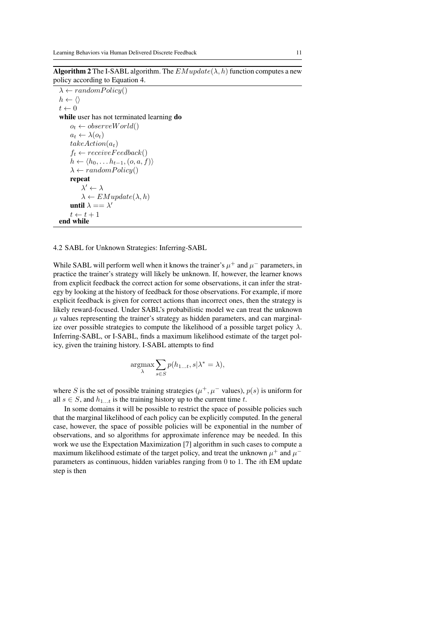**Algorithm 2** The I-SABL algorithm. The  $EMupdate(\lambda, h)$  function computes a new policy according to Equation 4.

 $\lambda \leftarrow random Policy()$  $h \leftarrow \langle \rangle$  $t \leftarrow 0$ while user has not terminated learning do  $o_t \leftarrow observableWorld()$  $a_t \leftarrow \lambda(o_t)$  $takeAction(a_t)$  $f_t \leftarrow receiveFeedback()$  $h \leftarrow \langle h_0, \ldots h_{t-1}, (o, a, f) \rangle$  $\lambda \leftarrow random Policy()$ repeat  $\lambda' \leftarrow \lambda$  $\lambda \leftarrow EMupdate(\lambda, h)$ until  $\lambda == \lambda'$  $t \leftarrow t + 1$ end while

4.2 SABL for Unknown Strategies: Inferring-SABL

While SABL will perform well when it knows the trainer's  $\mu^+$  and  $\mu^-$  parameters, in practice the trainer's strategy will likely be unknown. If, however, the learner knows from explicit feedback the correct action for some observations, it can infer the strategy by looking at the history of feedback for those observations. For example, if more explicit feedback is given for correct actions than incorrect ones, then the strategy is likely reward-focused. Under SABL's probabilistic model we can treat the unknown  $\mu$  values representing the trainer's strategy as hidden parameters, and can marginalize over possible strategies to compute the likelihood of a possible target policy  $\lambda$ . Inferring-SABL, or I-SABL, finds a maximum likelihood estimate of the target policy, given the training history. I-SABL attempts to find

$$
\underset{\lambda}{\operatorname{argmax}} \sum_{s \in S} p(h_{1...t}, s | \lambda^* = \lambda),
$$

where S is the set of possible training strategies ( $\mu^+, \mu^-$  values),  $p(s)$  is uniform for all  $s \in S$ , and  $h_{1...t}$  is the training history up to the current time t.

In some domains it will be possible to restrict the space of possible policies such that the marginal likelihood of each policy can be explicitly computed. In the general case, however, the space of possible policies will be exponential in the number of observations, and so algorithms for approximate inference may be needed. In this work we use the Expectation Maximization [7] algorithm in such cases to compute a maximum likelihood estimate of the target policy, and treat the unknown  $\mu^+$  and  $\mu^$ parameters as continuous, hidden variables ranging from  $0$  to 1. The *i*th EM update step is then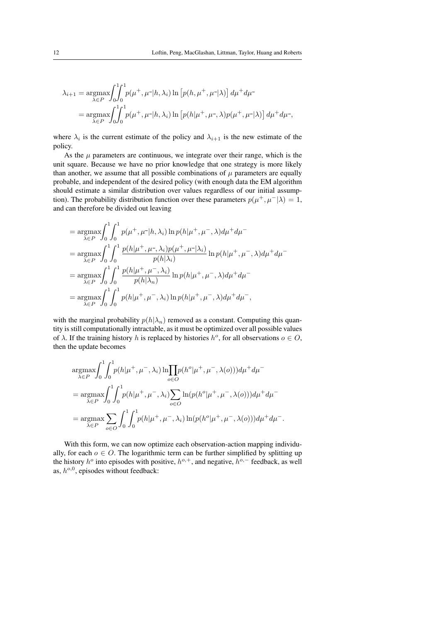$$
\lambda_{i+1} = \underset{\lambda \in P}{\operatorname{argmax}} \int_{0}^{1} \int_{0}^{1} p(\mu^{+}, \mu^{-}|h, \lambda_{i}) \ln [p(h, \mu^{+}, \mu^{-}|\lambda)] d\mu^{+} d\mu^{-}
$$

$$
= \underset{\lambda \in P}{\operatorname{argmax}} \int_{0}^{1} \int_{0}^{1} p(\mu^{+}, \mu^{-}|h, \lambda_{i}) \ln [p(h|\mu^{+}, \mu^{-}, \lambda)p(\mu^{+}, \mu^{-}|\lambda)] d\mu^{+} d\mu^{-},
$$

where  $\lambda_i$  is the current estimate of the policy and  $\lambda_{i+1}$  is the new estimate of the policy.

As the  $\mu$  parameters are continuous, we integrate over their range, which is the unit square. Because we have no prior knowledge that one strategy is more likely than another, we assume that all possible combinations of  $\mu$  parameters are equally probable, and independent of the desired policy (with enough data the EM algorithm should estimate a similar distribution over values regardless of our initial assumption). The probability distribution function over these parameters  $p(\mu^+, \mu^-|\lambda) = 1$ , and can therefore be divided out leaving

$$
= \underset{\lambda \in P}{\operatorname{argmax}} \int_{0}^{1} \int_{0}^{1} p(\mu^{+}, \mu^{-}|h, \lambda_{i}) \ln p(h|\mu^{+}, \mu^{-}, \lambda) d\mu^{+} d\mu^{-}
$$
  
\n
$$
= \underset{\lambda \in P}{\operatorname{argmax}} \int_{0}^{1} \int_{0}^{1} \frac{p(h|\mu^{+}, \mu^{-}, \lambda_{i}) p(\mu^{+}, \mu^{-}|\lambda_{i})}{p(h|\lambda_{i})} \ln p(h|\mu^{+}, \mu^{-}, \lambda) d\mu^{+} d\mu^{-}
$$
  
\n
$$
= \underset{\lambda \in P}{\operatorname{argmax}} \int_{0}^{1} \int_{0}^{1} \frac{p(h|\mu^{+}, \mu^{-}, \lambda_{i})}{p(h|\lambda_{n})} \ln p(h|\mu^{+}, \mu^{-}, \lambda) d\mu^{+} d\mu^{-}
$$
  
\n
$$
= \underset{\lambda \in P}{\operatorname{argmax}} \int_{0}^{1} \int_{0}^{1} p(h|\mu^{+}, \mu^{-}, \lambda_{i}) \ln p(h|\mu^{+}, \mu^{-}, \lambda) d\mu^{+} d\mu^{-},
$$

with the marginal probability  $p(h|\lambda_n)$  removed as a constant. Computing this quantity is still computationally intractable, as it must be optimized over all possible values of  $\lambda$ . If the training history h is replaced by histories  $h^o$ , for all observations  $o \in O$ , then the update becomes

$$
\underset{\lambda \in P}{\operatorname{argmax}} \int_{0}^{1} \int_{0}^{1} p(h|\mu^{+}, \mu^{-}, \lambda_{i}) \ln \prod_{o \in O} p(h^{o}|\mu^{+}, \mu^{-}, \lambda(o))) d\mu^{+} d\mu^{-}
$$
\n
$$
= \underset{\lambda \in P}{\operatorname{argmax}} \int_{0}^{1} \int_{0}^{1} p(h|\mu^{+}, \mu^{-}, \lambda_{i}) \sum_{o \in O} \ln (p(h^{o}|\mu^{+}, \mu^{-}, \lambda(o))) d\mu^{+} d\mu^{-}
$$
\n
$$
= \underset{\lambda \in P}{\operatorname{argmax}} \sum_{o \in O} \int_{0}^{1} \int_{0}^{1} p(h|\mu^{+}, \mu^{-}, \lambda_{i}) \ln (p(h^{o}|\mu^{+}, \mu^{-}, \lambda(o))) d\mu^{+} d\mu^{-}.
$$

With this form, we can now optimize each observation-action mapping individually, for each  $o \in O$ . The logarithmic term can be further simplified by splitting up the history  $h^o$  into episodes with positive,  $h^{o,+}$ , and negative,  $h^{o,-}$  feedback, as well as,  $h^{o,0}$ , episodes without feedback: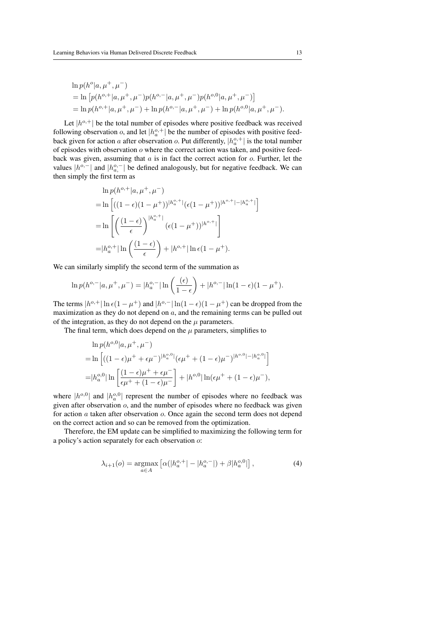$$
\ln p(h^o|a, \mu^+, \mu^-)
$$
  
= 
$$
\ln [p(h^{o,+}|a, \mu^+, \mu^-)p(h^{o,-}|a, \mu^+, \mu^-)p(h^{o,0}|a, \mu^+, \mu^-)]
$$
  
= 
$$
\ln p(h^{o,+}|a, \mu^+, \mu^-) + \ln p(h^{o,-}|a, \mu^+, \mu^-) + \ln p(h^{o,0}|a, \mu^+, \mu^-).
$$

Let  $|h^{o,+}|$  be the total number of episodes where positive feedback was received following observation o, and let  $|h_a^{o,+}|$  be the number of episodes with positive feedback given for action a after observation o. Put differently,  $|h_a^{o,+}|$  is the total number of episodes with observation  $o$  where the correct action was taken, and positive feedback was given, assuming that  $a$  is in fact the correct action for  $o$ . Further, let the values  $|h^{o,-}|$  and  $|h_{a}^{o,-}|$  be defined analogously, but for negative feedback. We can then simply the first term as

$$
\ln p(h^{o,+}|a,\mu^{+},\mu^{-})
$$
\n
$$
= \ln \left[ ((1-\epsilon)(1-\mu^{+}))^{|h_{a}^{o,+}|} (\epsilon(1-\mu^{+}))^{|h^{o,+}|-|h_{a}^{o,+}|} \right]
$$
\n
$$
= \ln \left[ \left( \frac{(1-\epsilon)}{\epsilon} \right)^{|h_{a}^{o,+}|} (\epsilon(1-\mu^{+}))^{|h^{o,+}|} \right]
$$
\n
$$
= |h_{a}^{o,+}| \ln \left( \frac{(1-\epsilon)}{\epsilon} \right) + |h^{o,+}| \ln \epsilon(1-\mu^{+}).
$$

We can similarly simplify the second term of the summation as

$$
\ln p(h^{o,-}|a,\mu^+,\mu^-) = |h_a^{o,-}| \ln \left(\frac{(\epsilon)}{1-\epsilon}\right) + |h^{o,-}| \ln(1-\epsilon)(1-\mu^+).
$$

The terms  $|h^{o,+}| \ln \epsilon (1 - \mu^+)$  and  $|h^{o,-}| \ln(1 - \epsilon) (1 - \mu^+)$  can be dropped from the maximization as they do not depend on  $a$ , and the remaining terms can be pulled out of the integration, as they do not depend on the  $\mu$  parameters.

The final term, which does depend on the  $\mu$  parameters, simplifies to

$$
\ln p(h^{o,0}|a,\mu^+,\mu^-)
$$
  
= 
$$
\ln \left[ ((1-\epsilon)\mu^+ + \epsilon \mu^-)^{|h_a^{o,0}|} (\epsilon \mu^+ + (1-\epsilon)\mu^-)^{|h^{o,0}|-|h_a^{o,0}|} \right]
$$
  
= 
$$
|h_a^{o,0}| \ln \left[ \frac{(1-\epsilon)\mu^+ + \epsilon \mu^-}{\epsilon \mu^+ + (1-\epsilon)\mu^-} \right] + |h^{o,0}| \ln(\epsilon \mu^+ + (1-\epsilon)\mu^-),
$$

where  $|h^{o,0}|$  and  $|h^{o,0}_a|$  represent the number of episodes where no feedback was given after observation o, and the number of episodes where no feedback was given for action  $a$  taken after observation  $o$ . Once again the second term does not depend on the correct action and so can be removed from the optimization.

Therefore, the EM update can be simplified to maximizing the following term for a policy's action separately for each observation o:

$$
\lambda_{i+1}(o) = \underset{a \in A}{\text{argmax}} \left[ \alpha (|h_a^{o,+}| - |h_a^{o,-}|) + \beta |h_a^{o,0}| \right],\tag{4}
$$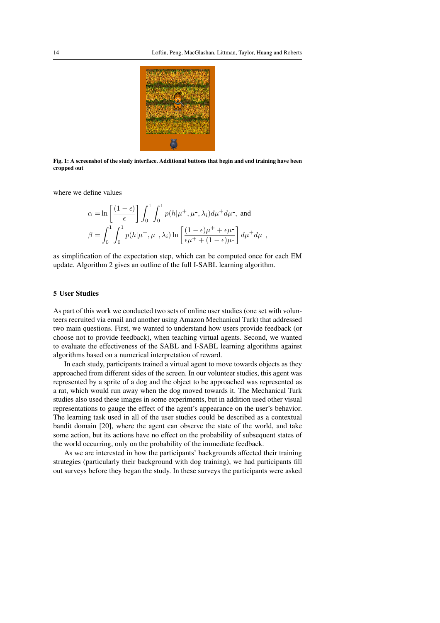

Fig. 1: A screenshot of the study interface. Additional buttons that begin and end training have been cropped out

where we define values

$$
\alpha = \ln \left[ \frac{(1 - \epsilon)}{\epsilon} \right] \int_0^1 \int_0^1 p(h | \mu^+, \mu^-, \lambda_i) d\mu^+ d\mu^-, \text{ and}
$$

$$
\beta = \int_0^1 \int_0^1 p(h | \mu^+, \mu^-, \lambda_i) \ln \left[ \frac{(1 - \epsilon)\mu^+ + \epsilon \mu^-}{\epsilon \mu^+ + (1 - \epsilon)\mu^-} \right] d\mu^+ d\mu^-,
$$

as simplification of the expectation step, which can be computed once for each EM update. Algorithm 2 gives an outline of the full I-SABL learning algorithm.

## 5 User Studies

As part of this work we conducted two sets of online user studies (one set with volunteers recruited via email and another using Amazon Mechanical Turk) that addressed two main questions. First, we wanted to understand how users provide feedback (or choose not to provide feedback), when teaching virtual agents. Second, we wanted to evaluate the effectiveness of the SABL and I-SABL learning algorithms against algorithms based on a numerical interpretation of reward.

In each study, participants trained a virtual agent to move towards objects as they approached from different sides of the screen. In our volunteer studies, this agent was represented by a sprite of a dog and the object to be approached was represented as a rat, which would run away when the dog moved towards it. The Mechanical Turk studies also used these images in some experiments, but in addition used other visual representations to gauge the effect of the agent's appearance on the user's behavior. The learning task used in all of the user studies could be described as a contextual bandit domain [20], where the agent can observe the state of the world, and take some action, but its actions have no effect on the probability of subsequent states of the world occurring, only on the probability of the immediate feedback.

As we are interested in how the participants' backgrounds affected their training strategies (particularly their background with dog training), we had participants fill out surveys before they began the study. In these surveys the participants were asked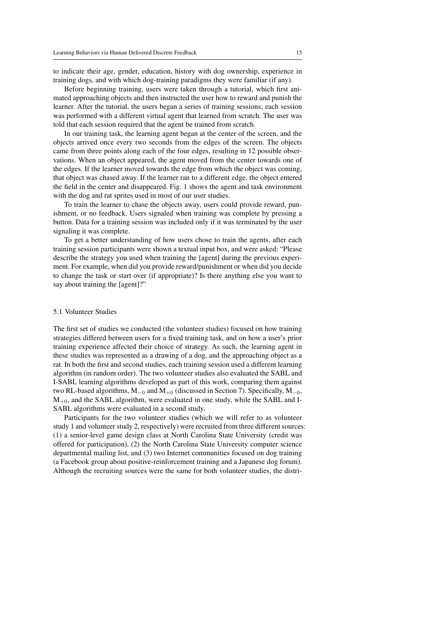to indicate their age, gender, education, history with dog ownership, experience in training dogs, and with which dog-training paradigms they were familiar (if any).

Before beginning training, users were taken through a tutorial, which first animated approaching objects and then instructed the user how to reward and punish the learner. After the tutorial, the users began a series of training sessions; each session was performed with a different virtual agent that learned from scratch. The user was told that each session required that the agent be trained from scratch.

In our training task, the learning agent began at the center of the screen, and the objects arrived once every two seconds from the edges of the screen. The objects came from three points along each of the four edges, resulting in 12 possible observations. When an object appeared, the agent moved from the center towards one of the edges. If the learner moved towards the edge from which the object was coming, that object was chased away. If the learner ran to a different edge, the object entered the field in the center and disappeared. Fig. 1 shows the agent and task environment with the dog and rat sprites used in most of our user studies.

To train the learner to chase the objects away, users could provide reward, punishment, or no feedback. Users signaled when training was complete by pressing a button. Data for a training session was included only if it was terminated by the user signaling it was complete.

To get a better understanding of how users chose to train the agents, after each training session participants were shown a textual input box, and were asked: "Please describe the strategy you used when training the [agent] during the previous experiment. For example, when did you provide reward/punishment or when did you decide to change the task or start over (if appropriate)? Is there anything else you want to say about training the [agent]?"

## 5.1 Volunteer Studies

The first set of studies we conducted (the volunteer studies) focused on how training strategies differed between users for a fixed training task, and on how a user's prior training experience affected their choice of strategy. As such, the learning agent in these studies was represented as a drawing of a dog, and the approaching object as a rat. In both the first and second studies, each training session used a different learning algorithm (in random order). The two volunteer studies also evaluated the SABL and I-SABL learning algorithms developed as part of this work, comparing them against two RL-based algorithms,  $M_{-0}$  and  $M_{+0}$  (discussed in Section 7). Specifically,  $M_{-0}$ ,  $M_{+0}$ , and the SABL algorithm, were evaluated in one study, while the SABL and I-SABL algorithms were evaluated in a second study.

Participants for the two volunteer studies (which we will refer to as volunteer study 1 and volunteer study 2, respectively) were recruited from three different sources: (1) a senior-level game design class at North Carolina State University (credit was offered for participation), (2) the North Carolina State University computer science departmental mailing list, and (3) two Internet communities focused on dog training (a Facebook group about positive-reinforcement training and a Japanese dog forum). Although the recruiting sources were the same for both volunteer studies, the distri-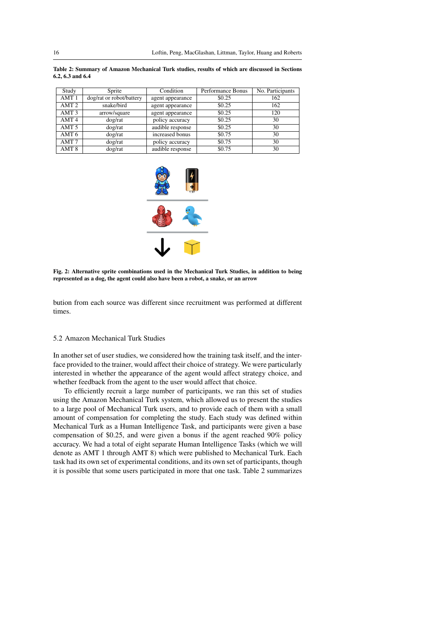| Table 2: Summary of Amazon Mechanical Turk studies, results of which are discussed in Sections |  |  |
|------------------------------------------------------------------------------------------------|--|--|
| 6.2, 6.3 and 6.4                                                                               |  |  |

| Study            | Sprite                   | Condition        | Performance Bonus | No. Participants |
|------------------|--------------------------|------------------|-------------------|------------------|
| AMT <sub>1</sub> | dog/rat or robot/battery | agent appearance | \$0.25            | 162              |
| AMT <sub>2</sub> | snake/bird               | agent appearance | \$0.25            | 162              |
| AMT <sub>3</sub> | arrow/square             | agent appearance | \$0.25            | 120              |
| AMT <sub>4</sub> | dog/rat                  | policy accuracy  | \$0.25            | 30               |
| AMT <sub>5</sub> | dog/rat                  | audible response | \$0.25            | 30               |
| AMT 6            | dog/rat                  | increased bonus  | \$0.75            | 30               |
| AMT <sub>7</sub> | dog/rat                  | policy accuracy  | \$0.75            | 30               |
| AMT <sub>8</sub> | dog/rat                  | audible response | \$0.75            | 30               |



Fig. 2: Alternative sprite combinations used in the Mechanical Turk Studies, in addition to being represented as a dog, the agent could also have been a robot, a snake, or an arrow

bution from each source was different since recruitment was performed at different times.

## 5.2 Amazon Mechanical Turk Studies

In another set of user studies, we considered how the training task itself, and the interface provided to the trainer, would affect their choice of strategy. We were particularly interested in whether the appearance of the agent would affect strategy choice, and whether feedback from the agent to the user would affect that choice.

To efficiently recruit a large number of participants, we ran this set of studies using the Amazon Mechanical Turk system, which allowed us to present the studies to a large pool of Mechanical Turk users, and to provide each of them with a small amount of compensation for completing the study. Each study was defined within Mechanical Turk as a Human Intelligence Task, and participants were given a base compensation of \$0.25, and were given a bonus if the agent reached 90% policy accuracy. We had a total of eight separate Human Intelligence Tasks (which we will denote as AMT 1 through AMT 8) which were published to Mechanical Turk. Each task had its own set of experimental conditions, and its own set of participants, though it is possible that some users participated in more that one task. Table 2 summarizes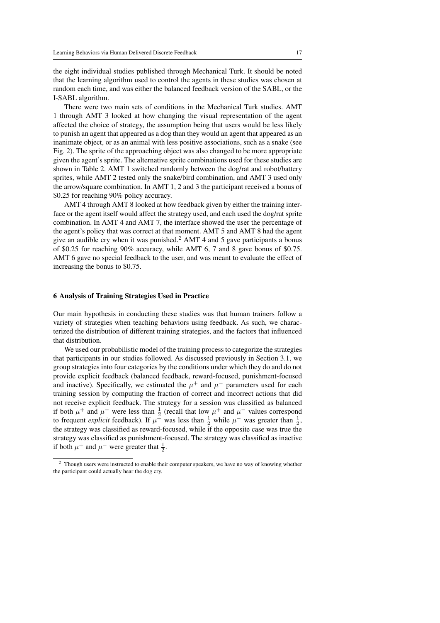the eight individual studies published through Mechanical Turk. It should be noted that the learning algorithm used to control the agents in these studies was chosen at random each time, and was either the balanced feedback version of the SABL, or the I-SABL algorithm.

There were two main sets of conditions in the Mechanical Turk studies. AMT 1 through AMT 3 looked at how changing the visual representation of the agent affected the choice of strategy, the assumption being that users would be less likely to punish an agent that appeared as a dog than they would an agent that appeared as an inanimate object, or as an animal with less positive associations, such as a snake (see Fig. 2). The sprite of the approaching object was also changed to be more appropriate given the agent's sprite. The alternative sprite combinations used for these studies are shown in Table 2. AMT 1 switched randomly between the dog/rat and robot/battery sprites, while AMT 2 tested only the snake/bird combination, and AMT 3 used only the arrow/square combination. In AMT 1, 2 and 3 the participant received a bonus of \$0.25 for reaching 90% policy accuracy.

AMT 4 through AMT 8 looked at how feedback given by either the training interface or the agent itself would affect the strategy used, and each used the dog/rat sprite combination. In AMT 4 and AMT 7, the interface showed the user the percentage of the agent's policy that was correct at that moment. AMT 5 and AMT 8 had the agent give an audible cry when it was punished.<sup>2</sup> AMT 4 and 5 gave participants a bonus of \$0.25 for reaching 90% accuracy, while AMT 6, 7 and 8 gave bonus of \$0.75. AMT 6 gave no special feedback to the user, and was meant to evaluate the effect of increasing the bonus to \$0.75.

#### 6 Analysis of Training Strategies Used in Practice

Our main hypothesis in conducting these studies was that human trainers follow a variety of strategies when teaching behaviors using feedback. As such, we characterized the distribution of different training strategies, and the factors that influenced that distribution.

We used our probabilistic model of the training process to categorize the strategies that participants in our studies followed. As discussed previously in Section 3.1, we group strategies into four categories by the conditions under which they do and do not provide explicit feedback (balanced feedback, reward-focused, punishment-focused and inactive). Specifically, we estimated the  $\mu^+$  and  $\mu^-$  parameters used for each training session by computing the fraction of correct and incorrect actions that did not receive explicit feedback. The strategy for a session was classified as balanced if both  $\mu^+$  and  $\mu^-$  were less than  $\frac{1}{2}$  (recall that low  $\mu^+$  and  $\mu^-$  values correspond to frequent *explicit* feedback). If  $\mu^{\pm}$  was less than  $\frac{1}{2}$  while  $\mu^-$  was greater than  $\frac{1}{2}$ , the strategy was classified as reward-focused, while if the opposite case was true the strategy was classified as punishment-focused. The strategy was classified as inactive if both  $\mu^+$  and  $\mu^-$  were greater that  $\frac{1}{2}$ .

<sup>&</sup>lt;sup>2</sup> Though users were instructed to enable their computer speakers, we have no way of knowing whether the participant could actually hear the dog cry.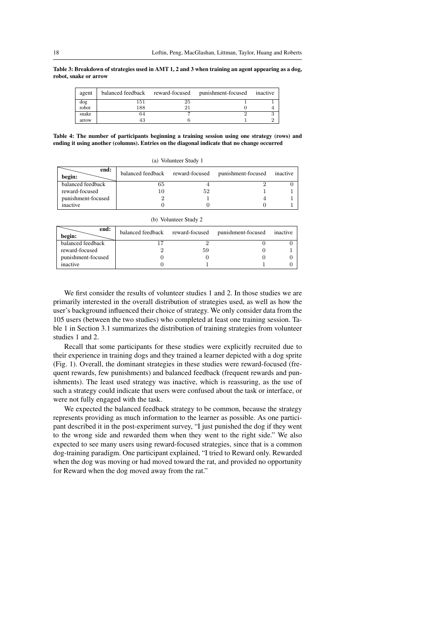Table 3: Breakdown of strategies used in AMT 1, 2 and 3 when training an agent appearing as a dog, robot, snake or arrow

| agent        |     | balanced feedback reward-focused punishment-focused inactive |  |
|--------------|-----|--------------------------------------------------------------|--|
| dog<br>robot | 151 |                                                              |  |
|              | 188 |                                                              |  |
| snake        | 64  |                                                              |  |
| arrow        |     |                                                              |  |

Table 4: The number of participants beginning a training session using one strategy (rows) and ending it using another (columns). Entries on the diagonal indicate that no change occurred

| (a) Volunteer Study 1 |    |    |                                                     |          |  |  |  |
|-----------------------|----|----|-----------------------------------------------------|----------|--|--|--|
| end:<br>begin:        |    |    | balanced feedback reward-focused punishment-focused | inactive |  |  |  |
| halanced feedback     | 65 |    |                                                     |          |  |  |  |
| reward-focused        | 10 | 52 |                                                     |          |  |  |  |
| punishment-focused    |    |    |                                                     |          |  |  |  |
| inactive              |    |    |                                                     |          |  |  |  |

| (b) Volunteer Study 2 |  |    |                                                     |          |  |  |  |
|-----------------------|--|----|-----------------------------------------------------|----------|--|--|--|
| end:<br>begin:        |  |    | balanced feedback reward-focused punishment-focused | inactive |  |  |  |
| balanced feedback     |  |    |                                                     |          |  |  |  |
| reward-focused        |  | 59 |                                                     |          |  |  |  |
| punishment-focused    |  |    |                                                     |          |  |  |  |
| inactive              |  |    |                                                     |          |  |  |  |

We first consider the results of volunteer studies 1 and 2. In those studies we are primarily interested in the overall distribution of strategies used, as well as how the user's background influenced their choice of strategy. We only consider data from the 105 users (between the two studies) who completed at least one training session. Table 1 in Section 3.1 summarizes the distribution of training strategies from volunteer studies 1 and 2.

Recall that some participants for these studies were explicitly recruited due to their experience in training dogs and they trained a learner depicted with a dog sprite (Fig. 1). Overall, the dominant strategies in these studies were reward-focused (frequent rewards, few punishments) and balanced feedback (frequent rewards and punishments). The least used strategy was inactive, which is reassuring, as the use of such a strategy could indicate that users were confused about the task or interface, or were not fully engaged with the task.

We expected the balanced feedback strategy to be common, because the strategy represents providing as much information to the learner as possible. As one participant described it in the post-experiment survey, "I just punished the dog if they went to the wrong side and rewarded them when they went to the right side." We also expected to see many users using reward-focused strategies, since that is a common dog-training paradigm. One participant explained, "I tried to Reward only. Rewarded when the dog was moving or had moved toward the rat, and provided no opportunity for Reward when the dog moved away from the rat."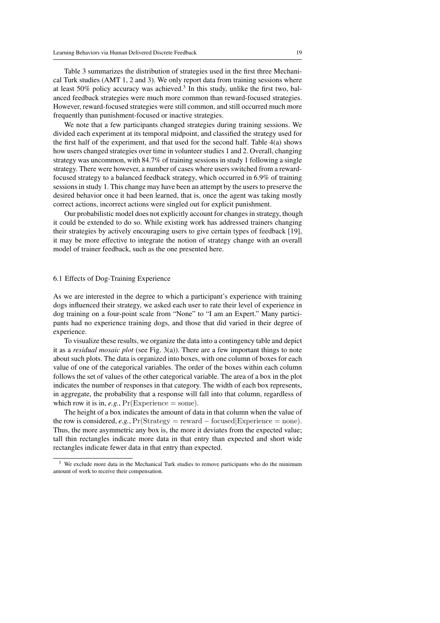Table 3 summarizes the distribution of strategies used in the first three Mechanical Turk studies (AMT 1, 2 and 3). We only report data from training sessions where at least 50% policy accuracy was achieved.<sup>3</sup> In this study, unlike the first two, balanced feedback strategies were much more common than reward-focused strategies. However, reward-focused strategies were still common, and still occurred much more frequently than punishment-focused or inactive strategies.

We note that a few participants changed strategies during training sessions. We divided each experiment at its temporal midpoint, and classified the strategy used for the first half of the experiment, and that used for the second half. Table 4(a) shows how users changed strategies over time in volunteer studies 1 and 2. Overall, changing strategy was uncommon, with 84.7% of training sessions in study 1 following a single strategy. There were however, a number of cases where users switched from a rewardfocused strategy to a balanced feedback strategy, which occurred in 6.9% of training sessions in study 1. This change may have been an attempt by the users to preserve the desired behavior once it had been learned, that is, once the agent was taking mostly correct actions, incorrect actions were singled out for explicit punishment.

Our probabilistic model does not explicitly account for changes in strategy, though it could be extended to do so. While existing work has addressed trainers changing their strategies by actively encouraging users to give certain types of feedback [19], it may be more effective to integrate the notion of strategy change with an overall model of trainer feedback, such as the one presented here.

## 6.1 Effects of Dog-Training Experience

As we are interested in the degree to which a participant's experience with training dogs influenced their strategy, we asked each user to rate their level of experience in dog training on a four-point scale from "None" to "I am an Expert." Many participants had no experience training dogs, and those that did varied in their degree of experience.

To visualize these results, we organize the data into a contingency table and depict it as a *residual mosaic plot* (see Fig. 3(a)). There are a few important things to note about such plots. The data is organized into boxes, with one column of boxes for each value of one of the categorical variables. The order of the boxes within each column follows the set of values of the other categorical variable. The area of a box in the plot indicates the number of responses in that category. The width of each box represents, in aggregate, the probability that a response will fall into that column, regardless of which row it is in,  $e.g., Pr(Experimentere = some)$ .

The height of a box indicates the amount of data in that column when the value of the row is considered, *e.g.*,  $Pr(\text{Strategy} = \text{reward} - \text{focused}|\text{Experimente}) =$  none). Thus, the more asymmetric any box is, the more it deviates from the expected value; tall thin rectangles indicate more data in that entry than expected and short wide rectangles indicate fewer data in that entry than expected.

<sup>&</sup>lt;sup>3</sup> We exclude more data in the Mechanical Turk studies to remove participants who do the minimum amount of work to receive their compensation.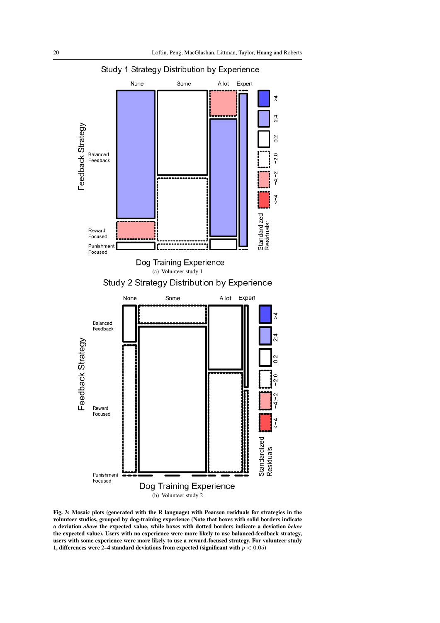

Fig. 3: Mosaic plots (generated with the R language) with Pearson residuals for strategies in the volunteer studies, grouped by dog-training experience (Note that boxes with solid borders indicate a deviation *above* the expected value, while boxes with dotted borders indicate a deviation *below* the expected value). Users with no experience were more likely to use balanced-feedback strategy, users with some experience were more likely to use a reward-focused strategy. For volunteer study 1, differences were 2–4 standard deviations from expected (significant with  $p < 0.05$ )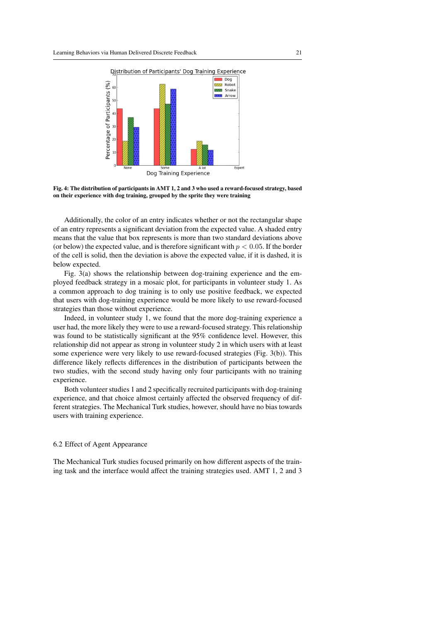

Fig. 4: The distribution of participants in AMT 1, 2 and 3 who used a reward-focused strategy, based on their experience with dog training, grouped by the sprite they were training

Additionally, the color of an entry indicates whether or not the rectangular shape of an entry represents a significant deviation from the expected value. A shaded entry means that the value that box represents is more than two standard deviations above (or below) the expected value, and is therefore significant with  $p < 0.05$ . If the border of the cell is solid, then the deviation is above the expected value, if it is dashed, it is below expected.

Fig. 3(a) shows the relationship between dog-training experience and the employed feedback strategy in a mosaic plot, for participants in volunteer study 1. As a common approach to dog training is to only use positive feedback, we expected that users with dog-training experience would be more likely to use reward-focused strategies than those without experience.

Indeed, in volunteer study 1, we found that the more dog-training experience a user had, the more likely they were to use a reward-focused strategy. This relationship was found to be statistically significant at the 95% confidence level. However, this relationship did not appear as strong in volunteer study 2 in which users with at least some experience were very likely to use reward-focused strategies (Fig. 3(b)). This difference likely reflects differences in the distribution of participants between the two studies, with the second study having only four participants with no training experience.

Both volunteer studies 1 and 2 specifically recruited participants with dog-training experience, and that choice almost certainly affected the observed frequency of different strategies. The Mechanical Turk studies, however, should have no bias towards users with training experience.

## 6.2 Effect of Agent Appearance

The Mechanical Turk studies focused primarily on how different aspects of the training task and the interface would affect the training strategies used. AMT 1, 2 and 3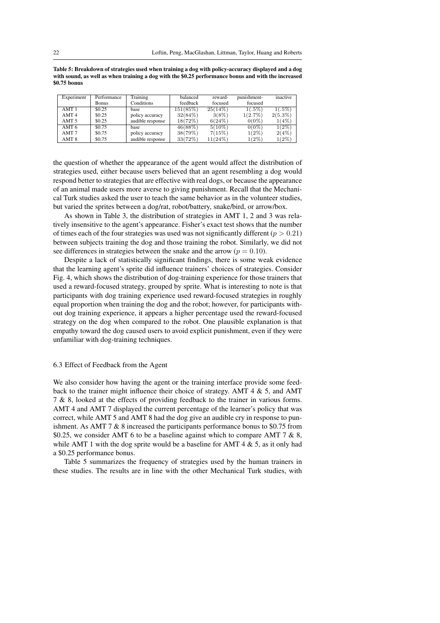| Experiment       | Performance  | Training         | balanced   | reward-   | punishment- | inactive   |
|------------------|--------------|------------------|------------|-----------|-------------|------------|
|                  | <b>Bonus</b> | Conditions       | feedback   | focused   | focused     |            |
| AMT <sub>1</sub> | \$0.25       | hase             | 151(85%)   | 25(14%)   | $1(.5\%)$   | $1(.5\%)$  |
| AMT <sub>4</sub> | \$0.25       | policy accuracy  | $32(84\%)$ | $3(8\%)$  | 1(2.7%)     | $2(5.3\%)$ |
| AMT <sub>5</sub> | \$0.25       | audible response | 18(72%)    | 6(24%)    | $0(0\%)$    | $1(4\%)$   |
| AMT <sub>6</sub> | \$0.75       | hase             | 46(88%)    | $5(10\%)$ | $0(0\%)$    | $1(2\%)$   |
| AMT <sub>7</sub> | \$0.75       | policy accuracy  | 38(79%)    | 7(15%)    | $1(2\%)$    | 2(4%)      |
| AMT <sub>8</sub> | \$0.75       | audible response | 33(72%)    | 11(24%)   | $1(2\%)$    | $1(2\%)$   |

Table 5: Breakdown of strategies used when training a dog with policy-accuracy displayed and a dog with sound, as well as when training a dog with the \$0.25 performance bonus and with the increased \$0.75 bonus

the question of whether the appearance of the agent would affect the distribution of strategies used, either because users believed that an agent resembling a dog would respond better to strategies that are effective with real dogs, or because the appearance of an animal made users more averse to giving punishment. Recall that the Mechanical Turk studies asked the user to teach the same behavior as in the volunteer studies, but varied the sprites between a dog/rat, robot/battery, snake/bird, or arrow/box.

As shown in Table 3, the distribution of strategies in AMT 1, 2 and 3 was relatively insensitive to the agent's appearance. Fisher's exact test shows that the number of times each of the four strategies was used was not significantly different ( $p > 0.21$ ) between subjects training the dog and those training the robot. Similarly, we did not see differences in strategies between the snake and the arrow ( $p = 0.10$ ).

Despite a lack of statistically significant findings, there is some weak evidence that the learning agent's sprite did influence trainers' choices of strategies. Consider Fig. 4, which shows the distribution of dog-training experience for those trainers that used a reward-focused strategy, grouped by sprite. What is interesting to note is that participants with dog training experience used reward-focused strategies in roughly equal proportion when training the dog and the robot; however, for participants without dog training experience, it appears a higher percentage used the reward-focused strategy on the dog when compared to the robot. One plausible explanation is that empathy toward the dog caused users to avoid explicit punishment, even if they were unfamiliar with dog-training techniques.

#### 6.3 Effect of Feedback from the Agent

We also consider how having the agent or the training interface provide some feedback to the trainer might influence their choice of strategy. AMT 4  $\&$  5, and AMT 7 & 8, looked at the effects of providing feedback to the trainer in various forms. AMT 4 and AMT 7 displayed the current percentage of the learner's policy that was correct, while AMT 5 and AMT 8 had the dog give an audible cry in response to punishment. As AMT 7 & 8 increased the participants performance bonus to \$0.75 from \$0.25, we consider AMT 6 to be a baseline against which to compare AMT 7 & 8, while AMT 1 with the dog sprite would be a baseline for AMT 4  $\&$  5, as it only had a \$0.25 performance bonus.

Table 5 summarizes the frequency of strategies used by the human trainers in these studies. The results are in line with the other Mechanical Turk studies, with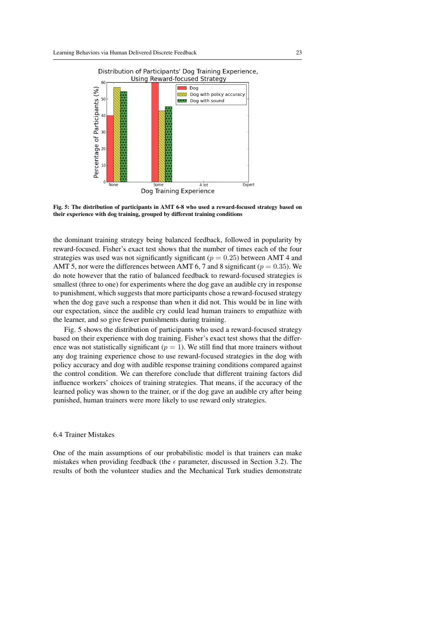

Distribution of Participants' Dog Training Experience,

Fig. 5: The distribution of participants in AMT 6-8 who used a reward-focused strategy based on their experience with dog training, grouped by different training conditions

the dominant training strategy being balanced feedback, followed in popularity by reward-focused. Fisher's exact test shows that the number of times each of the four strategies was used was not significantly significant ( $p = 0.25$ ) between AMT 4 and AMT 5, nor were the differences between AMT 6, 7 and 8 significant ( $p = 0.35$ ). We do note however that the ratio of balanced feedback to reward-focused strategies is smallest (three to one) for experiments where the dog gave an audible cry in response to punishment, which suggests that more participants chose a reward-focused strategy when the dog gave such a response than when it did not. This would be in line with our expectation, since the audible cry could lead human trainers to empathize with the learner, and so give fewer punishments during training.

Fig. 5 shows the distribution of participants who used a reward-focused strategy based on their experience with dog training. Fisher's exact test shows that the difference was not statistically significant ( $p = 1$ ). We still find that more trainers without any dog training experience chose to use reward-focused strategies in the dog with policy accuracy and dog with audible response training conditions compared against the control condition. We can therefore conclude that different training factors did influence workers' choices of training strategies. That means, if the accuracy of the learned policy was shown to the trainer, or if the dog gave an audible cry after being punished, human trainers were more likely to use reward only strategies.

# 6.4 Trainer Mistakes

One of the main assumptions of our probabilistic model is that trainers can make mistakes when providing feedback (the  $\epsilon$  parameter, discussed in Section 3.2). The results of both the volunteer studies and the Mechanical Turk studies demonstrate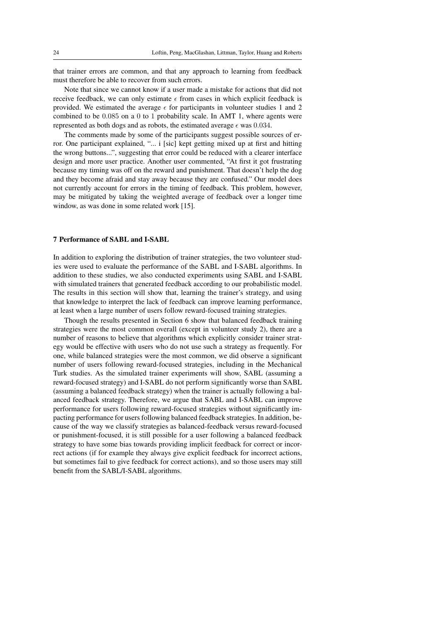that trainer errors are common, and that any approach to learning from feedback must therefore be able to recover from such errors.

Note that since we cannot know if a user made a mistake for actions that did not receive feedback, we can only estimate  $\epsilon$  from cases in which explicit feedback is provided. We estimated the average  $\epsilon$  for participants in volunteer studies 1 and 2 combined to be 0.085 on a 0 to 1 probability scale. In AMT 1, where agents were represented as both dogs and as robots, the estimated average  $\epsilon$  was 0.034.

The comments made by some of the participants suggest possible sources of error. One participant explained, "... i [sic] kept getting mixed up at first and hitting the wrong buttons...", suggesting that error could be reduced with a clearer interface design and more user practice. Another user commented, "At first it got frustrating because my timing was off on the reward and punishment. That doesn't help the dog and they become afraid and stay away because they are confused." Our model does not currently account for errors in the timing of feedback. This problem, however, may be mitigated by taking the weighted average of feedback over a longer time window, as was done in some related work [15].

# 7 Performance of SABL and I-SABL

In addition to exploring the distribution of trainer strategies, the two volunteer studies were used to evaluate the performance of the SABL and I-SABL algorithms. In addition to these studies, we also conducted experiments using SABL and I-SABL with simulated trainers that generated feedback according to our probabilistic model. The results in this section will show that, learning the trainer's strategy, and using that knowledge to interpret the lack of feedback can improve learning performance, at least when a large number of users follow reward-focused training strategies.

Though the results presented in Section 6 show that balanced feedback training strategies were the most common overall (except in volunteer study 2), there are a number of reasons to believe that algorithms which explicitly consider trainer strategy would be effective with users who do not use such a strategy as frequently. For one, while balanced strategies were the most common, we did observe a significant number of users following reward-focused strategies, including in the Mechanical Turk studies. As the simulated trainer experiments will show, SABL (assuming a reward-focused strategy) and I-SABL do not perform significantly worse than SABL (assuming a balanced feedback strategy) when the trainer is actually following a balanced feedback strategy. Therefore, we argue that SABL and I-SABL can improve performance for users following reward-focused strategies without significantly impacting performance for users following balanced feedback strategies. In addition, because of the way we classify strategies as balanced-feedback versus reward-focused or punishment-focused, it is still possible for a user following a balanced feedback strategy to have some bias towards providing implicit feedback for correct or incorrect actions (if for example they always give explicit feedback for incorrect actions, but sometimes fail to give feedback for correct actions), and so those users may still benefit from the SABL/I-SABL algorithms.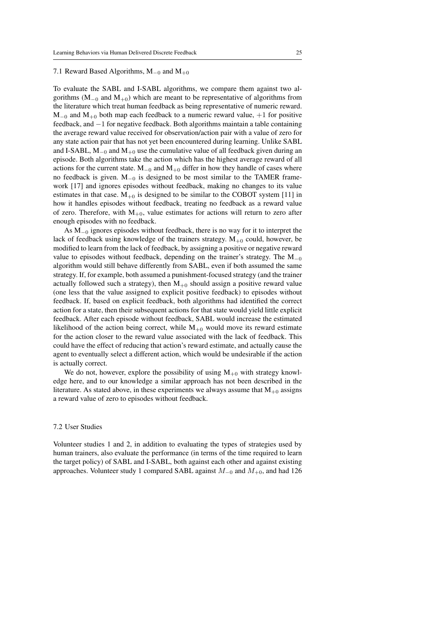#### 7.1 Reward Based Algorithms,  $M_{-0}$  and  $M_{+0}$

To evaluate the SABL and I-SABL algorithms, we compare them against two algorithms ( $M_{-0}$  and  $M_{+0}$ ) which are meant to be representative of algorithms from the literature which treat human feedback as being representative of numeric reward.  $M_{-0}$  and  $M_{+0}$  both map each feedback to a numeric reward value,  $+1$  for positive feedback, and −1 for negative feedback. Both algorithms maintain a table containing the average reward value received for observation/action pair with a value of zero for any state action pair that has not yet been encountered during learning. Unlike SABL and I-SABL,  $M_{-0}$  and  $M_{+0}$  use the cumulative value of all feedback given during an episode. Both algorithms take the action which has the highest average reward of all actions for the current state.  $M_{-0}$  and  $M_{+0}$  differ in how they handle of cases where no feedback is given. M−<sup>0</sup> is designed to be most similar to the TAMER framework [17] and ignores episodes without feedback, making no changes to its value estimates in that case.  $M_{+0}$  is designed to be similar to the COBOT system [11] in how it handles episodes without feedback, treating no feedback as a reward value of zero. Therefore, with  $M_{+0}$ , value estimates for actions will return to zero after enough episodes with no feedback.

As M−<sup>0</sup> ignores episodes without feedback, there is no way for it to interpret the lack of feedback using knowledge of the trainers strategy.  $M_{+0}$  could, however, be modified to learn from the lack of feedback, by assigning a positive or negative reward value to episodes without feedback, depending on the trainer's strategy. The  $M_{-0}$ algorithm would still behave differently from SABL, even if both assumed the same strategy. If, for example, both assumed a punishment-focused strategy (and the trainer actually followed such a strategy), then  $M_{+0}$  should assign a positive reward value (one less that the value assigned to explicit positive feedback) to episodes without feedback. If, based on explicit feedback, both algorithms had identified the correct action for a state, then their subsequent actions for that state would yield little explicit feedback. After each episode without feedback, SABL would increase the estimated likelihood of the action being correct, while  $M_{+0}$  would move its reward estimate for the action closer to the reward value associated with the lack of feedback. This could have the effect of reducing that action's reward estimate, and actually cause the agent to eventually select a different action, which would be undesirable if the action is actually correct.

We do not, however, explore the possibility of using  $M_{+0}$  with strategy knowledge here, and to our knowledge a similar approach has not been described in the literature. As stated above, in these experiments we always assume that  $M_{+0}$  assigns a reward value of zero to episodes without feedback.

#### 7.2 User Studies

Volunteer studies 1 and 2, in addition to evaluating the types of strategies used by human trainers, also evaluate the performance (in terms of the time required to learn the target policy) of SABL and I-SABL, both against each other and against existing approaches. Volunteer study 1 compared SABL against  $M_{-0}$  and  $M_{+0}$ , and had 126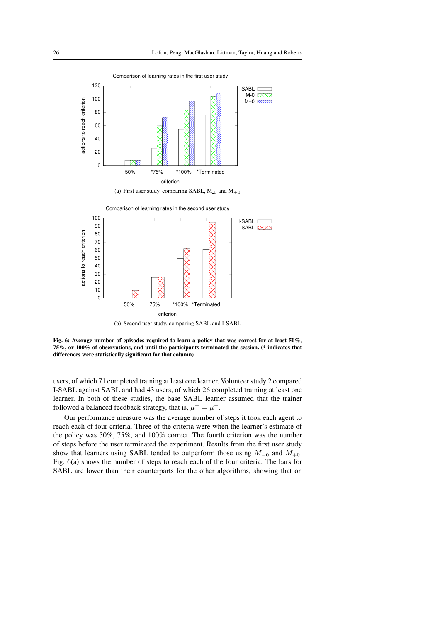



Fig. 6: Average number of episodes required to learn a policy that was correct for at least 50%, 75%, or 100% of observations, and until the participants terminated the session. (\* indicates that differences were statistically significant for that column)

users, of which 71 completed training at least one learner. Volunteer study 2 compared I-SABL against SABL and had 43 users, of which 26 completed training at least one learner. In both of these studies, the base SABL learner assumed that the trainer followed a balanced feedback strategy, that is,  $\mu^+ = \mu^-$ .

Our performance measure was the average number of steps it took each agent to reach each of four criteria. Three of the criteria were when the learner's estimate of the policy was 50%, 75%, and 100% correct. The fourth criterion was the number of steps before the user terminated the experiment. Results from the first user study show that learners using SABL tended to outperform those using  $M_{-0}$  and  $M_{+0}$ . Fig. 6(a) shows the number of steps to reach each of the four criteria. The bars for SABL are lower than their counterparts for the other algorithms, showing that on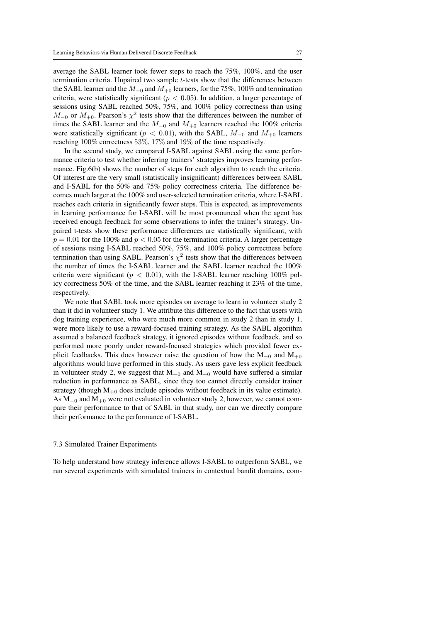average the SABL learner took fewer steps to reach the 75%, 100%, and the user termination criteria. Unpaired two sample t-tests show that the differences between the SABL learner and the  $M_{-0}$  and  $M_{+0}$  learners, for the 75%, 100% and termination criteria, were statistically significant ( $p < 0.05$ ). In addition, a larger percentage of sessions using SABL reached 50%, 75%, and 100% policy correctness than using  $M_{-0}$  or  $M_{+0}$ . Pearson's  $\chi^2$  tests show that the differences between the number of times the SABL learner and the  $M_{-0}$  and  $M_{+0}$  learners reached the 100% criteria were statistically significant ( $p < 0.01$ ), with the SABL,  $M_{-0}$  and  $M_{+0}$  learners reaching 100% correctness 53%, 17% and 19% of the time respectively.

In the second study, we compared I-SABL against SABL using the same performance criteria to test whether inferring trainers' strategies improves learning performance. Fig.6(b) shows the number of steps for each algorithm to reach the criteria. Of interest are the very small (statistically insignificant) differences between SABL and I-SABL for the 50% and 75% policy correctness criteria. The difference becomes much larger at the 100% and user-selected termination criteria, where I-SABL reaches each criteria in significantly fewer steps. This is expected, as improvements in learning performance for I-SABL will be most pronounced when the agent has received enough feedback for some observations to infer the trainer's strategy. Unpaired t-tests show these performance differences are statistically significant, with  $p = 0.01$  for the 100% and  $p < 0.05$  for the termination criteria. A larger percentage of sessions using I-SABL reached 50%, 75%, and 100% policy correctness before termination than using SABL. Pearson's  $\chi^2$  tests show that the differences between the number of times the I-SABL learner and the SABL learner reached the 100% criteria were significant ( $p < 0.01$ ), with the I-SABL learner reaching 100% policy correctness 50% of the time, and the SABL learner reaching it 23% of the time, respectively.

We note that SABL took more episodes on average to learn in volunteer study 2 than it did in volunteer study 1. We attribute this difference to the fact that users with dog training experience, who were much more common in study 2 than in study 1, were more likely to use a reward-focused training strategy. As the SABL algorithm assumed a balanced feedback strategy, it ignored episodes without feedback, and so performed more poorly under reward-focused strategies which provided fewer explicit feedbacks. This does however raise the question of how the  $M_{-0}$  and  $M_{+0}$ algorithms would have performed in this study. As users gave less explicit feedback in volunteer study 2, we suggest that  $M_{-0}$  and  $M_{+0}$  would have suffered a similar reduction in performance as SABL, since they too cannot directly consider trainer strategy (though  $M_{+0}$  does include episodes without feedback in its value estimate). As  $M_{-0}$  and  $M_{+0}$  were not evaluated in volunteer study 2, however, we cannot compare their performance to that of SABL in that study, nor can we directly compare their performance to the performance of I-SABL.

#### 7.3 Simulated Trainer Experiments

To help understand how strategy inference allows I-SABL to outperform SABL, we ran several experiments with simulated trainers in contextual bandit domains, com-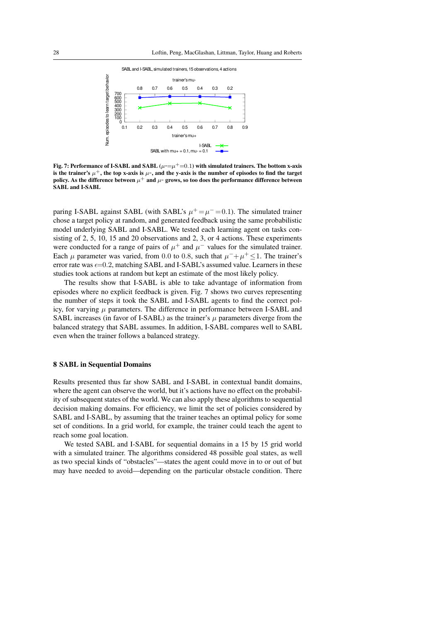

Fig. 7: Performance of I-SABL and SABL  $(\mu = \mu^+ = 0.1)$  with simulated trainers. The bottom x-axis is the trainer's  $\mu^+$ , the top x-axis is  $\mu^-$ , and the y-axis is the number of episodes to find the target policy. As the difference between  $\mu^+$  and  $\mu^-$  grows, so too does the performance difference between SABL and I-SABL

paring I-SABL against SABL (with SABL's  $\mu^+ = \mu^- = 0.1$ ). The simulated trainer chose a target policy at random, and generated feedback using the same probabilistic model underlying SABL and I-SABL. We tested each learning agent on tasks consisting of 2, 5, 10, 15 and 20 observations and 2, 3, or 4 actions. These experiments were conducted for a range of pairs of  $\mu^+$  and  $\mu^-$  values for the simulated trainer. Each  $\mu$  parameter was varied, from 0.0 to 0.8, such that  $\mu^- + \mu^+ \leq 1$ . The trainer's error rate was  $\epsilon$ =0.2, matching SABL and I-SABL's assumed value. Learners in these studies took actions at random but kept an estimate of the most likely policy.

The results show that I-SABL is able to take advantage of information from episodes where no explicit feedback is given. Fig. 7 shows two curves representing the number of steps it took the SABL and I-SABL agents to find the correct policy, for varying  $\mu$  parameters. The difference in performance between I-SABL and SABL increases (in favor of I-SABL) as the trainer's  $\mu$  parameters diverge from the balanced strategy that SABL assumes. In addition, I-SABL compares well to SABL even when the trainer follows a balanced strategy.

## 8 SABL in Sequential Domains

Results presented thus far show SABL and I-SABL in contextual bandit domains, where the agent can observe the world, but it's actions have no effect on the probability of subsequent states of the world. We can also apply these algorithms to sequential decision making domains. For efficiency, we limit the set of policies considered by SABL and I-SABL, by assuming that the trainer teaches an optimal policy for some set of conditions. In a grid world, for example, the trainer could teach the agent to reach some goal location.

We tested SABL and I-SABL for sequential domains in a 15 by 15 grid world with a simulated trainer. The algorithms considered 48 possible goal states, as well as two special kinds of "obstacles"—states the agent could move in to or out of but may have needed to avoid—depending on the particular obstacle condition. There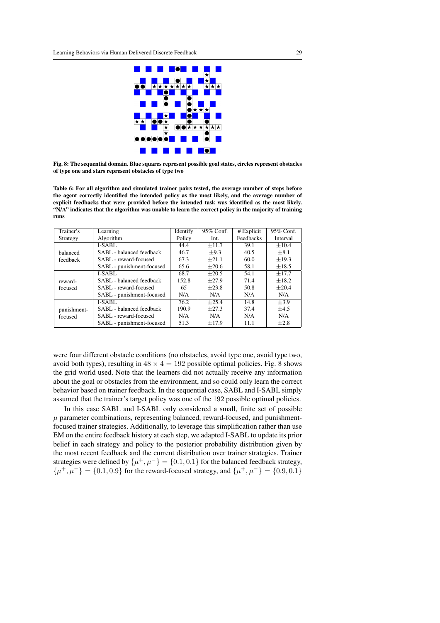

Fig. 8: The sequential domain. Blue squares represent possible goal states, circles represent obstacles of type one and stars represent obstacles of type two

Table 6: For all algorithm and simulated trainer pairs tested, the average number of steps before the agent correctly identified the intended policy as the most likely, and the average number of explicit feedbacks that were provided before the intended task was identified as the most likely. "N/A" indicates that the algorithm was unable to learn the correct policy in the majority of training runs

| Trainer's   | Learning                  | Identify | 95% Conf.  | # Explicit | 95% Conf.  |
|-------------|---------------------------|----------|------------|------------|------------|
| Strategy    | Algorithm                 | Policy   | Int.       | Feedbacks  | Interval   |
|             | LSABL                     | 44.4     | $+11.7$    | 39.1       | $+10.4$    |
| balanced    | SABL - balanced feedback  | 46.7     | $+9.3$     | 40.5       | $+8.1$     |
| feedback    | SABL - reward-focused     | 67.3     | $+21.1$    | 60.0       | $+19.3$    |
|             | SABL - punishment-focused | 65.6     | $\pm 20.6$ | 58.1       | $\pm 18.5$ |
|             | LSABL                     | 68.7     | $+20.5$    | 54.1       | $+17.7$    |
| reward-     | SABL - balanced feedback  | 152.8    | $+27.9$    | 71.4       | $\pm 18.2$ |
| focused     | SABL - reward-focused     | 65       | $+23.8$    | 50.8       | $\pm 20.4$ |
|             | SABL - punishment-focused | N/A      | N/A        | N/A        | N/A        |
|             | LSABL                     | 76.2     | $+25.4$    | 14.8       | $\pm$ 3.9  |
| punishment- | SABL - balanced feedback  | 190.9    | $+27.3$    | 37.4       | $+4.5$     |
| focused     | SABL - reward-focused     | N/A      | N/A        | N/A        | N/A        |
|             | SABL - punishment-focused | 51.3     | $\pm$ 17.9 | 11.1       | $\pm 2.8$  |

were four different obstacle conditions (no obstacles, avoid type one, avoid type two, avoid both types), resulting in  $48 \times 4 = 192$  possible optimal policies. Fig. 8 shows the grid world used. Note that the learners did not actually receive any information about the goal or obstacles from the environment, and so could only learn the correct behavior based on trainer feedback. In the sequential case, SABL and I-SABL simply assumed that the trainer's target policy was one of the 192 possible optimal policies.

In this case SABL and I-SABL only considered a small, finite set of possible  $\mu$  parameter combinations, representing balanced, reward-focused, and punishmentfocused trainer strategies. Additionally, to leverage this simplification rather than use EM on the entire feedback history at each step, we adapted I-SABL to update its prior belief in each strategy and policy to the posterior probability distribution given by the most recent feedback and the current distribution over trainer strategies. Trainer strategies were defined by  $\{\mu^+, \mu^-\} = \{0.1, 0.1\}$  for the balanced feedback strategy,  $\{\mu^+, \mu^-\} = \{0.1, 0.9\}$  for the reward-focused strategy, and  $\{\mu^+, \mu^-\} = \{0.9, 0.1\}$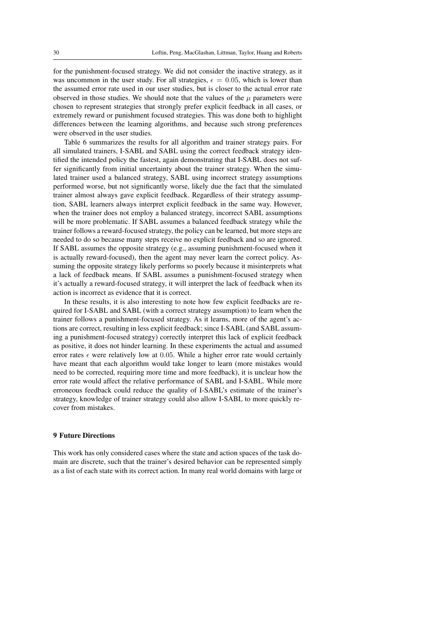for the punishment-focused strategy. We did not consider the inactive strategy, as it was uncommon in the user study. For all strategies,  $\epsilon = 0.05$ , which is lower than the assumed error rate used in our user studies, but is closer to the actual error rate observed in those studies. We should note that the values of the  $\mu$  parameters were chosen to represent strategies that strongly prefer explicit feedback in all cases, or extremely reward or punishment focused strategies. This was done both to highlight differences between the learning algorithms, and because such strong preferences were observed in the user studies.

Table 6 summarizes the results for all algorithm and trainer strategy pairs. For all simulated trainers, I-SABL and SABL using the correct feedback strategy identified the intended policy the fastest, again demonstrating that I-SABL does not suffer significantly from initial uncertainty about the trainer strategy. When the simulated trainer used a balanced strategy, SABL using incorrect strategy assumptions performed worse, but not significantly worse, likely due the fact that the simulated trainer almost always gave explicit feedback. Regardless of their strategy assumption, SABL learners always interpret explicit feedback in the same way. However, when the trainer does not employ a balanced strategy, incorrect SABL assumptions will be more problematic. If SABL assumes a balanced feedback strategy while the trainer follows a reward-focused strategy, the policy can be learned, but more steps are needed to do so because many steps receive no explicit feedback and so are ignored. If SABL assumes the opposite strategy (e.g., assuming punishment-focused when it is actually reward-focused), then the agent may never learn the correct policy. Assuming the opposite strategy likely performs so poorly because it misinterprets what a lack of feedback means. If SABL assumes a punishment-focused strategy when it's actually a reward-focused strategy, it will interpret the lack of feedback when its action is incorrect as evidence that it is correct.

In these results, it is also interesting to note how few explicit feedbacks are required for I-SABL and SABL (with a correct strategy assumption) to learn when the trainer follows a punishment-focused strategy. As it learns, more of the agent's actions are correct, resulting in less explicit feedback; since I-SABL (and SABL assuming a punishment-focused strategy) correctly interpret this lack of explicit feedback as positive, it does not hinder learning. In these experiments the actual and assumed error rates  $\epsilon$  were relatively low at 0.05. While a higher error rate would certainly have meant that each algorithm would take longer to learn (more mistakes would need to be corrected, requiring more time and more feedback), it is unclear how the error rate would affect the relative performance of SABL and I-SABL. While more erroneous feedback could reduce the quality of I-SABL's estimate of the trainer's strategy, knowledge of trainer strategy could also allow I-SABL to more quickly recover from mistakes.

#### 9 Future Directions

This work has only considered cases where the state and action spaces of the task domain are discrete, such that the trainer's desired behavior can be represented simply as a list of each state with its correct action. In many real world domains with large or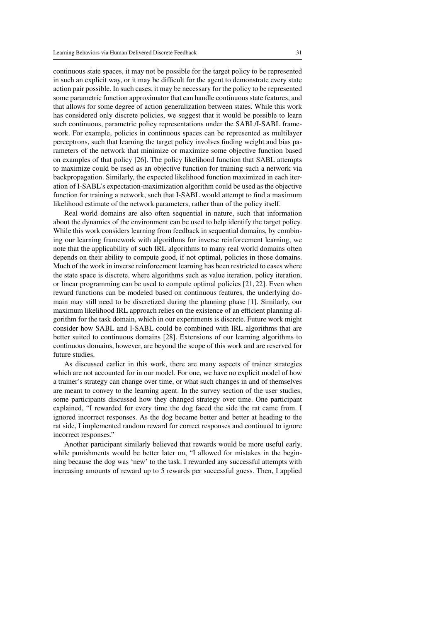continuous state spaces, it may not be possible for the target policy to be represented in such an explicit way, or it may be difficult for the agent to demonstrate every state action pair possible. In such cases, it may be necessary for the policy to be represented some parametric function approximator that can handle continuous state features, and that allows for some degree of action generalization between states. While this work has considered only discrete policies, we suggest that it would be possible to learn such continuous, parametric policy representations under the SABL/I-SABL framework. For example, policies in continuous spaces can be represented as multilayer perceptrons, such that learning the target policy involves finding weight and bias parameters of the network that minimize or maximize some objective function based on examples of that policy [26]. The policy likelihood function that SABL attempts to maximize could be used as an objective function for training such a network via backpropagation. Similarly, the expected likelihood function maximized in each iteration of I-SABL's expectation-maximization algorithm could be used as the objective function for training a network, such that I-SABL would attempt to find a maximum likelihood estimate of the network parameters, rather than of the policy itself.

Real world domains are also often sequential in nature, such that information about the dynamics of the environment can be used to help identify the target policy. While this work considers learning from feedback in sequential domains, by combining our learning framework with algorithms for inverse reinforcement learning, we note that the applicability of such IRL algorithms to many real world domains often depends on their ability to compute good, if not optimal, policies in those domains. Much of the work in inverse reinforcement learning has been restricted to cases where the state space is discrete, where algorithms such as value iteration, policy iteration, or linear programming can be used to compute optimal policies [21, 22]. Even when reward functions can be modeled based on continuous features, the underlying domain may still need to be discretized during the planning phase [1]. Similarly, our maximum likelihood IRL approach relies on the existence of an efficient planning algorithm for the task domain, which in our experiments is discrete. Future work might consider how SABL and I-SABL could be combined with IRL algorithms that are better suited to continuous domains [28]. Extensions of our learning algorithms to continuous domains, however, are beyond the scope of this work and are reserved for future studies.

As discussed earlier in this work, there are many aspects of trainer strategies which are not accounted for in our model. For one, we have no explicit model of how a trainer's strategy can change over time, or what such changes in and of themselves are meant to convey to the learning agent. In the survey section of the user studies, some participants discussed how they changed strategy over time. One participant explained, "I rewarded for every time the dog faced the side the rat came from. I ignored incorrect responses. As the dog became better and better at heading to the rat side, I implemented random reward for correct responses and continued to ignore incorrect responses."

Another participant similarly believed that rewards would be more useful early, while punishments would be better later on, "I allowed for mistakes in the beginning because the dog was 'new' to the task. I rewarded any successful attempts with increasing amounts of reward up to 5 rewards per successful guess. Then, I applied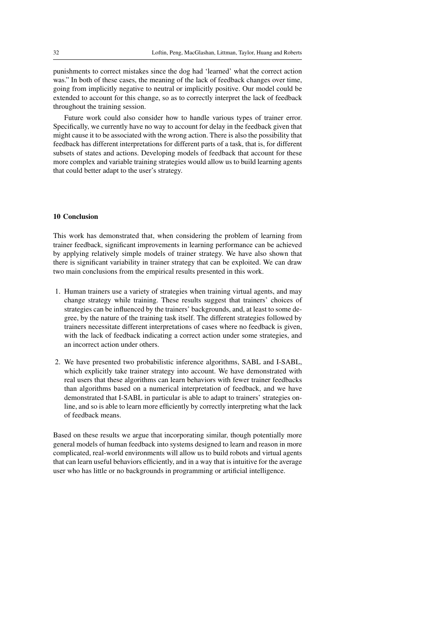punishments to correct mistakes since the dog had 'learned' what the correct action was." In both of these cases, the meaning of the lack of feedback changes over time, going from implicitly negative to neutral or implicitly positive. Our model could be extended to account for this change, so as to correctly interpret the lack of feedback throughout the training session.

Future work could also consider how to handle various types of trainer error. Specifically, we currently have no way to account for delay in the feedback given that might cause it to be associated with the wrong action. There is also the possibility that feedback has different interpretations for different parts of a task, that is, for different subsets of states and actions. Developing models of feedback that account for these more complex and variable training strategies would allow us to build learning agents that could better adapt to the user's strategy.

## 10 Conclusion

This work has demonstrated that, when considering the problem of learning from trainer feedback, significant improvements in learning performance can be achieved by applying relatively simple models of trainer strategy. We have also shown that there is significant variability in trainer strategy that can be exploited. We can draw two main conclusions from the empirical results presented in this work.

- 1. Human trainers use a variety of strategies when training virtual agents, and may change strategy while training. These results suggest that trainers' choices of strategies can be influenced by the trainers' backgrounds, and, at least to some degree, by the nature of the training task itself. The different strategies followed by trainers necessitate different interpretations of cases where no feedback is given, with the lack of feedback indicating a correct action under some strategies, and an incorrect action under others.
- 2. We have presented two probabilistic inference algorithms, SABL and I-SABL, which explicitly take trainer strategy into account. We have demonstrated with real users that these algorithms can learn behaviors with fewer trainer feedbacks than algorithms based on a numerical interpretation of feedback, and we have demonstrated that I-SABL in particular is able to adapt to trainers' strategies online, and so is able to learn more efficiently by correctly interpreting what the lack of feedback means.

Based on these results we argue that incorporating similar, though potentially more general models of human feedback into systems designed to learn and reason in more complicated, real-world environments will allow us to build robots and virtual agents that can learn useful behaviors efficiently, and in a way that is intuitive for the average user who has little or no backgrounds in programming or artificial intelligence.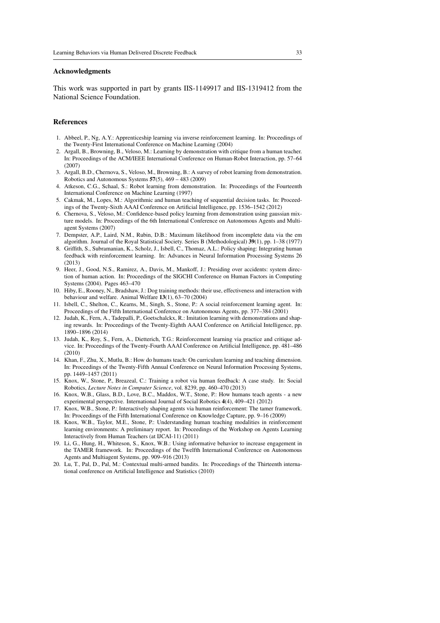#### Acknowledgments

This work was supported in part by grants IIS-1149917 and IIS-1319412 from the National Science Foundation.

#### References

- 1. Abbeel, P., Ng, A.Y.: Apprenticeship learning via inverse reinforcement learning. In: Proceedings of the Twenty-First International Conference on Machine Learning (2004)
- 2. Argall, B., Browning, B., Veloso, M.: Learning by demonstration with critique from a human teacher. In: Proceedings of the ACM/IEEE International Conference on Human-Robot Interaction, pp. 57–64 (2007)
- 3. Argall, B.D., Chernova, S., Veloso, M., Browning, B.: A survey of robot learning from demonstration. Robotics and Autonomous Systems  $57(5)$ ,  $469 - 483(2009)$
- 4. Atkeson, C.G., Schaal, S.: Robot learning from demonstration. In: Proceedings of the Fourteenth International Conference on Machine Learning (1997)
- 5. Cakmak, M., Lopes, M.: Algorithmic and human teaching of sequential decision tasks. In: Proceedings of the Twenty-Sixth AAAI Conference on Artificial Intelligence, pp. 1536–1542 (2012)
- 6. Chernova, S., Veloso, M.: Confidence-based policy learning from demonstration using gaussian mixture models. In: Proceedings of the 6th International Conference on Autonomous Agents and Multiagent Systems (2007)
- 7. Dempster, A.P., Laird, N.M., Rubin, D.B.: Maximum likelihood from incomplete data via the em algorithm. Journal of the Royal Statistical Society. Series B (Methodological) 39(1), pp. 1–38 (1977)
- 8. Griffith, S., Subramanian, K., Scholz, J., Isbell, C., Thomaz, A.L.: Policy shaping: Integrating human feedback with reinforcement learning. In: Advances in Neural Information Processing Systems 26 (2013)
- 9. Heer, J., Good, N.S., Ramirez, A., Davis, M., Mankoff, J.: Presiding over accidents: system direction of human action. In: Proceedings of the SIGCHI Conference on Human Factors in Computing Systems (2004). Pages 463–470
- 10. Hiby, E., Rooney, N., Bradshaw, J.: Dog training methods: their use, effectiveness and interaction with behaviour and welfare. Animal Welfare 13(1), 63–70 (2004)
- 11. Isbell, C., Shelton, C., Kearns, M., Singh, S., Stone, P.: A social reinforcement learning agent. In: Proceedings of the Fifth International Conference on Autonomous Agents, pp. 377–384 (2001)
- 12. Judah, K., Fern, A., Tadepalli, P., Goetschalckx, R.: Imitation learning with demonstrations and shaping rewards. In: Proceedings of the Twenty-Eighth AAAI Conference on Artificial Intelligence, pp. 1890–1896 (2014)
- 13. Judah, K., Roy, S., Fern, A., Dietterich, T.G.: Reinforcement learning via practice and critique advice. In: Proceedings of the Twenty-Fourth AAAI Conference on Artificial Intelligence, pp. 481–486 (2010)
- 14. Khan, F., Zhu, X., Mutlu, B.: How do humans teach: On curriculum learning and teaching dimension. In: Proceedings of the Twenty-Fifth Annual Conference on Neural Information Processing Systems, pp. 1449–1457 (2011)
- 15. Knox, W., Stone, P., Breazeal, C.: Training a robot via human feedback: A case study. In: Social Robotics, *Lecture Notes in Computer Science*, vol. 8239, pp. 460–470 (2013)
- 16. Knox, W.B., Glass, B.D., Love, B.C., Maddox, W.T., Stone, P.: How humans teach agents a new experimental perspective. International Journal of Social Robotics 4(4), 409–421 (2012)
- 17. Knox, W.B., Stone, P.: Interactively shaping agents via human reinforcement: The tamer framework. In: Proceedings of the Fifth International Conference on Knowledge Capture, pp. 9–16 (2009)
- 18. Knox, W.B., Taylor, M.E., Stone, P.: Understanding human teaching modalities in reinforcement learning environments: A preliminary report. In: Proceedings of the Workshop on Agents Learning Interactively from Human Teachers (at IJCAI-11) (2011)
- 19. Li, G., Hung, H., Whiteson, S., Knox, W.B.: Using informative behavior to increase engagement in the TAMER framework. In: Proceedings of the Twelfth International Conference on Autonomous Agents and Multiagent Systems, pp. 909–916 (2013)
- 20. Lu, T., Pal, D., Pal, M.: Contextual multi-armed bandits. In: Proceedings of the Thirteenth international conference on Artificial Intelligence and Statistics (2010)